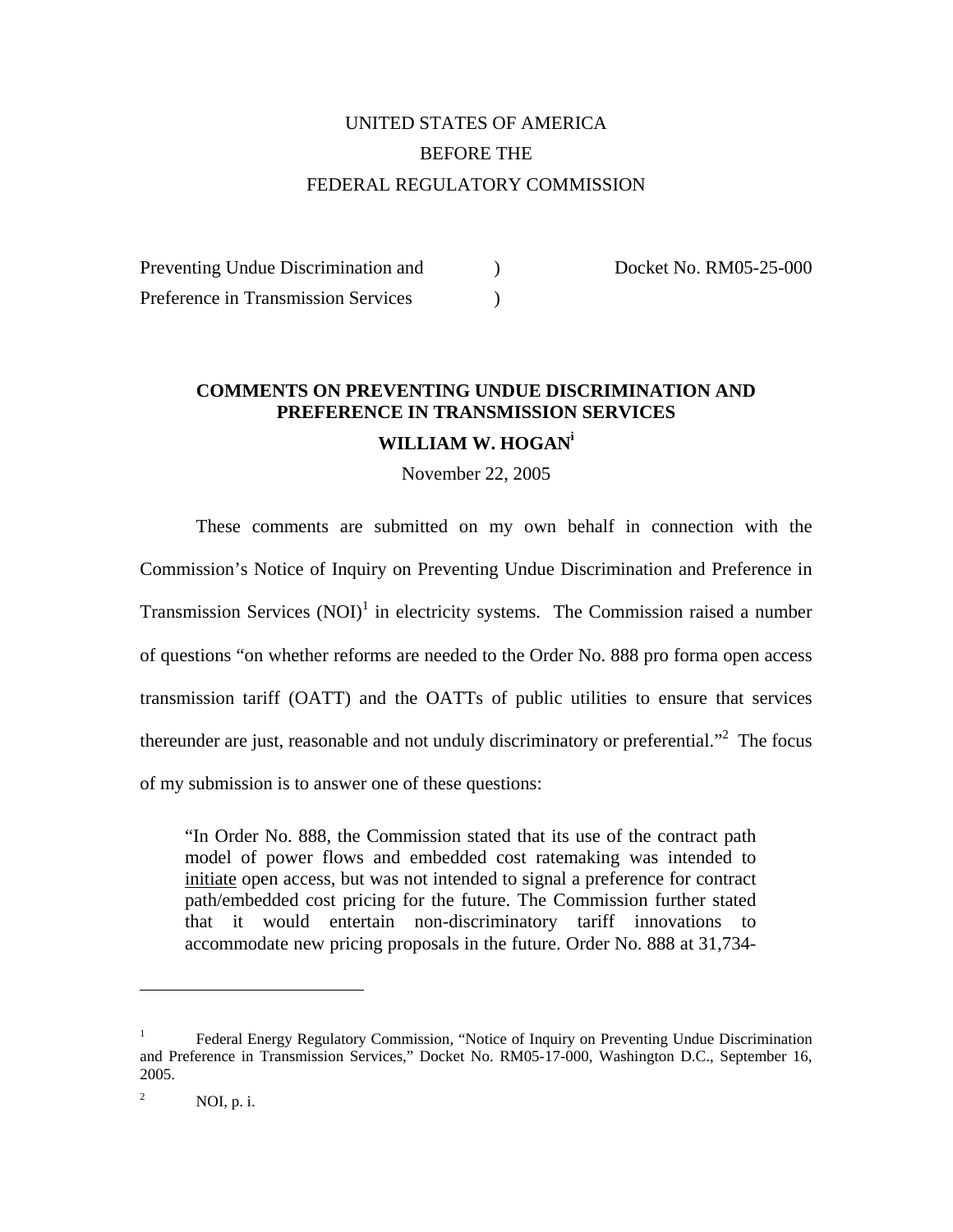# UNITED STATES OF AMERICA BEFORE THE FEDERAL REGULATORY COMMISSION

Preventing Undue Discrimination and  $Doseet No. RM05-25-000$ Preference in Transmission Services (b)

# **COMMENTS ON PREVENTING UNDUE DISCRIMINATION AND PREFERENCE IN TRANSMISSION SERVICES WILLIAM W. HOGANi**

November 22, 2005

These comments are submitted on my own behalf in connection with the Commission's Notice of Inquiry on Preventing Undue Discrimination and Preference in Transmission Services  $(NOI)^1$  in electricity systems. The Commission raised a number of questions "on whether reforms are needed to the Order No. 888 pro forma open access transmission tariff (OATT) and the OATTs of public utilities to ensure that services thereunder are just, reasonable and not unduly discriminatory or preferential."<sup>2</sup> The focus of my submission is to answer one of these questions:

"In Order No. 888, the Commission stated that its use of the contract path model of power flows and embedded cost ratemaking was intended to initiate open access, but was not intended to signal a preference for contract path/embedded cost pricing for the future. The Commission further stated that it would entertain non-discriminatory tariff innovations to accommodate new pricing proposals in the future. Order No. 888 at 31,734-

<sup>1</sup> Federal Energy Regulatory Commission, "Notice of Inquiry on Preventing Undue Discrimination and Preference in Transmission Services," Docket No. RM05-17-000, Washington D.C., September 16, 2005.

<sup>2</sup> NOI, p. i.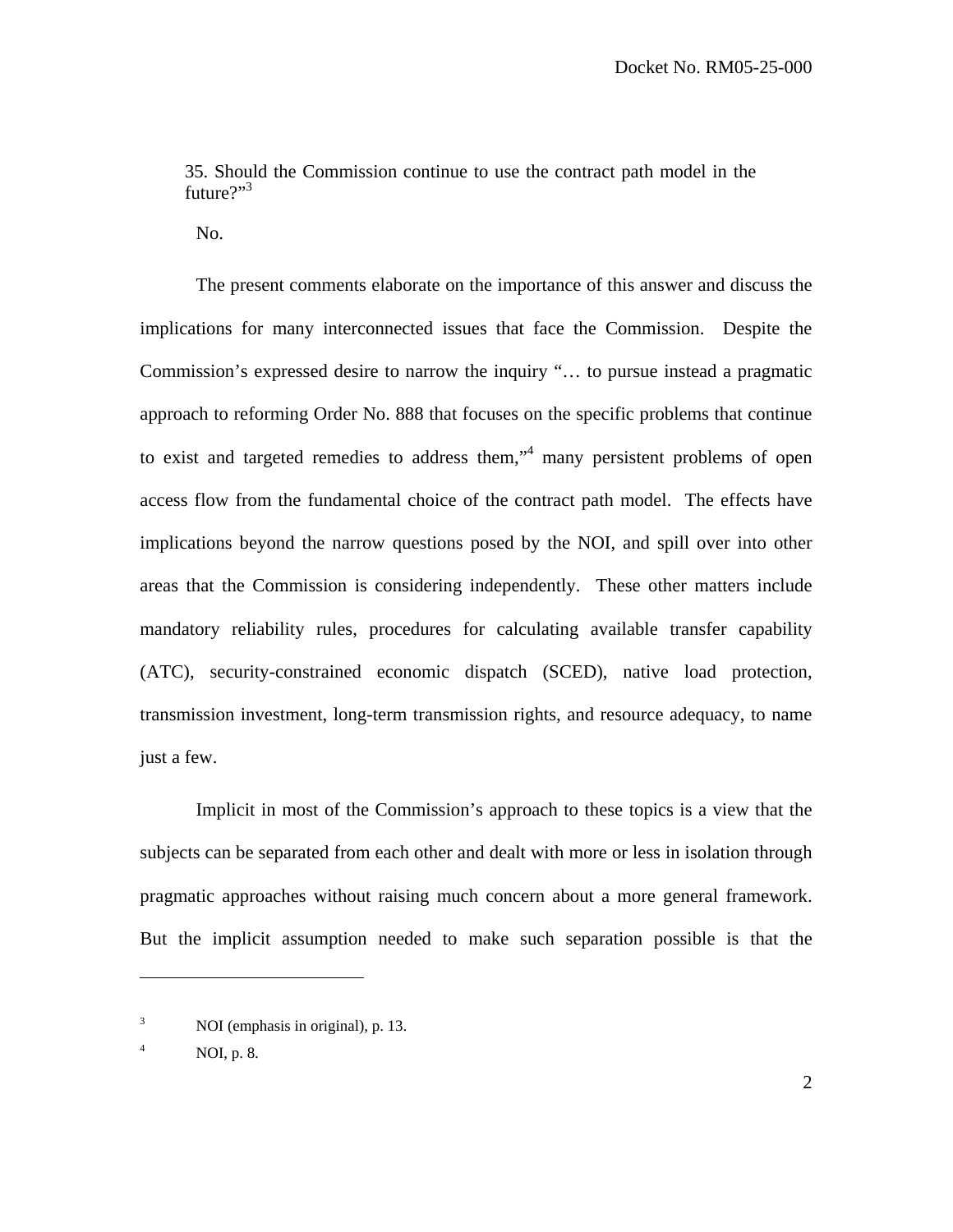35. Should the Commission continue to use the contract path model in the future $?$ <sup>3</sup>

No.

The present comments elaborate on the importance of this answer and discuss the implications for many interconnected issues that face the Commission. Despite the Commission's expressed desire to narrow the inquiry "… to pursue instead a pragmatic approach to reforming Order No. 888 that focuses on the specific problems that continue to exist and targeted remedies to address them,"<sup>4</sup> many persistent problems of open access flow from the fundamental choice of the contract path model. The effects have implications beyond the narrow questions posed by the NOI, and spill over into other areas that the Commission is considering independently. These other matters include mandatory reliability rules, procedures for calculating available transfer capability (ATC), security-constrained economic dispatch (SCED), native load protection, transmission investment, long-term transmission rights, and resource adequacy, to name just a few.

Implicit in most of the Commission's approach to these topics is a view that the subjects can be separated from each other and dealt with more or less in isolation through pragmatic approaches without raising much concern about a more general framework. But the implicit assumption needed to make such separation possible is that the

<sup>3</sup> NOI (emphasis in original), p. 13.

<sup>4</sup> NOI, p. 8.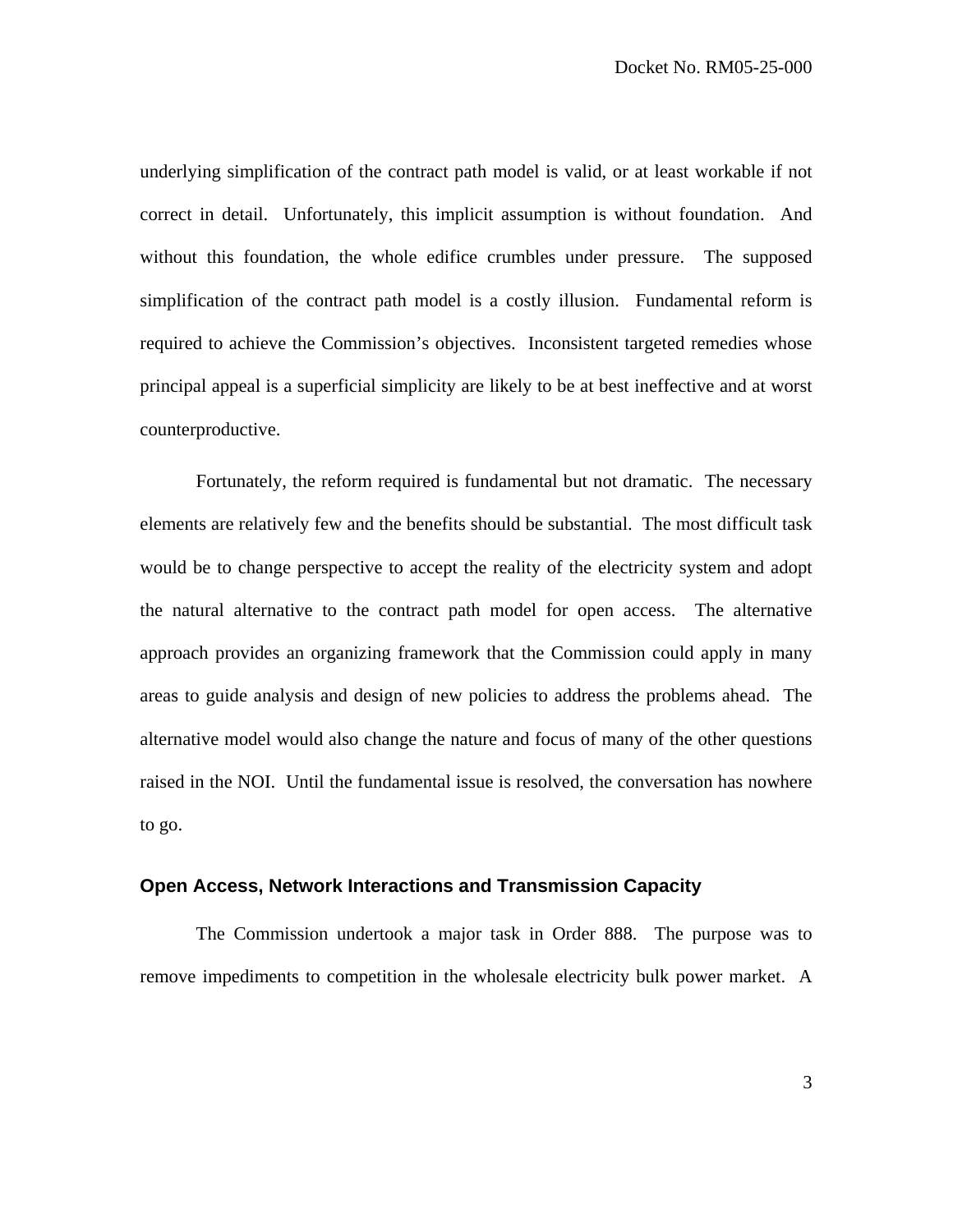underlying simplification of the contract path model is valid, or at least workable if not correct in detail. Unfortunately, this implicit assumption is without foundation. And without this foundation, the whole edifice crumbles under pressure. The supposed simplification of the contract path model is a costly illusion. Fundamental reform is required to achieve the Commission's objectives. Inconsistent targeted remedies whose principal appeal is a superficial simplicity are likely to be at best ineffective and at worst counterproductive.

Fortunately, the reform required is fundamental but not dramatic. The necessary elements are relatively few and the benefits should be substantial. The most difficult task would be to change perspective to accept the reality of the electricity system and adopt the natural alternative to the contract path model for open access. The alternative approach provides an organizing framework that the Commission could apply in many areas to guide analysis and design of new policies to address the problems ahead. The alternative model would also change the nature and focus of many of the other questions raised in the NOI. Until the fundamental issue is resolved, the conversation has nowhere to go.

## **Open Access, Network Interactions and Transmission Capacity**

The Commission undertook a major task in Order 888. The purpose was to remove impediments to competition in the wholesale electricity bulk power market. A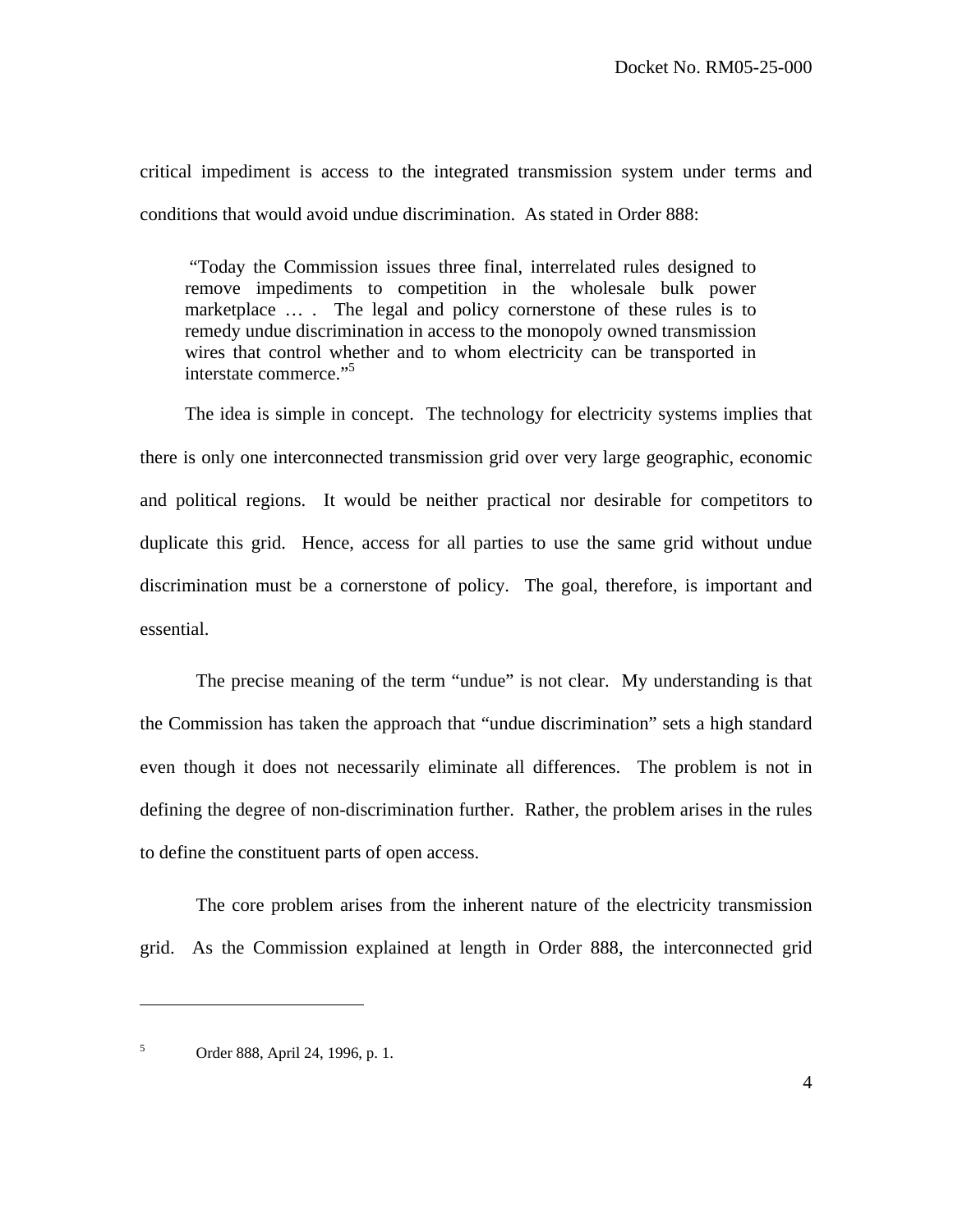critical impediment is access to the integrated transmission system under terms and conditions that would avoid undue discrimination. As stated in Order 888:

 "Today the Commission issues three final, interrelated rules designed to remove impediments to competition in the wholesale bulk power marketplace … . The legal and policy cornerstone of these rules is to remedy undue discrimination in access to the monopoly owned transmission wires that control whether and to whom electricity can be transported in interstate commerce."<sup>5</sup>

The idea is simple in concept. The technology for electricity systems implies that there is only one interconnected transmission grid over very large geographic, economic and political regions. It would be neither practical nor desirable for competitors to duplicate this grid. Hence, access for all parties to use the same grid without undue discrimination must be a cornerstone of policy. The goal, therefore, is important and essential.

The precise meaning of the term "undue" is not clear. My understanding is that the Commission has taken the approach that "undue discrimination" sets a high standard even though it does not necessarily eliminate all differences. The problem is not in defining the degree of non-discrimination further. Rather, the problem arises in the rules to define the constituent parts of open access.

 The core problem arises from the inherent nature of the electricity transmission grid. As the Commission explained at length in Order 888, the interconnected grid

<sup>5</sup> Order 888, April 24, 1996, p. 1.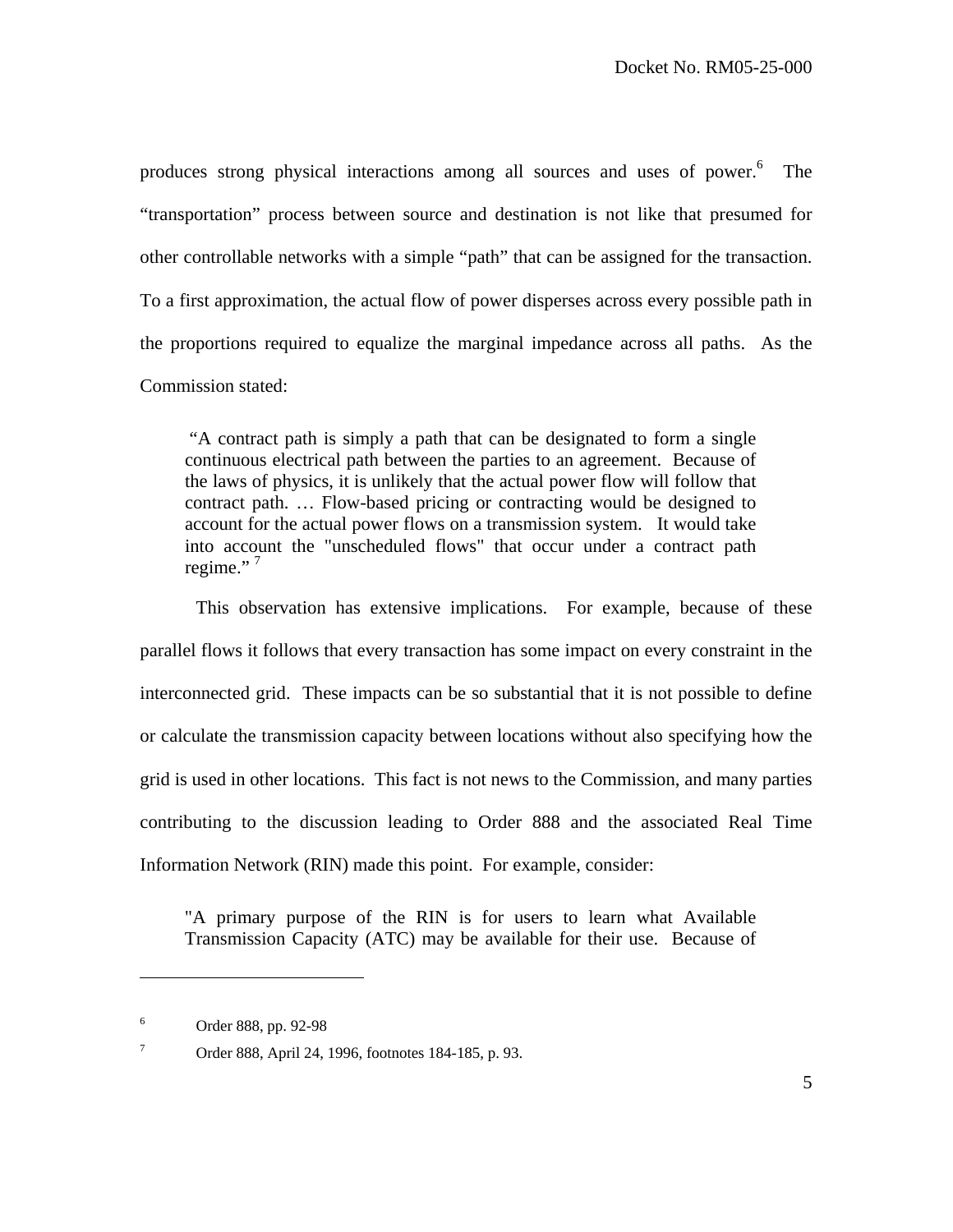produces strong physical interactions among all sources and uses of power.<sup>6</sup> The "transportation" process between source and destination is not like that presumed for other controllable networks with a simple "path" that can be assigned for the transaction. To a first approximation, the actual flow of power disperses across every possible path in the proportions required to equalize the marginal impedance across all paths. As the Commission stated:

 "A contract path is simply a path that can be designated to form a single continuous electrical path between the parties to an agreement. Because of the laws of physics, it is unlikely that the actual power flow will follow that contract path. … Flow-based pricing or contracting would be designed to account for the actual power flows on a transmission system. It would take into account the "unscheduled flows" that occur under a contract path regime."<sup>7</sup>

 This observation has extensive implications. For example, because of these parallel flows it follows that every transaction has some impact on every constraint in the interconnected grid. These impacts can be so substantial that it is not possible to define or calculate the transmission capacity between locations without also specifying how the grid is used in other locations. This fact is not news to the Commission, and many parties contributing to the discussion leading to Order 888 and the associated Real Time Information Network (RIN) made this point. For example, consider:

"A primary purpose of the RIN is for users to learn what Available Transmission Capacity (ATC) may be available for their use. Because of

1

<sup>6</sup> Order 888, pp. 92-98

<sup>7</sup> Order 888, April 24, 1996, footnotes 184-185, p. 93.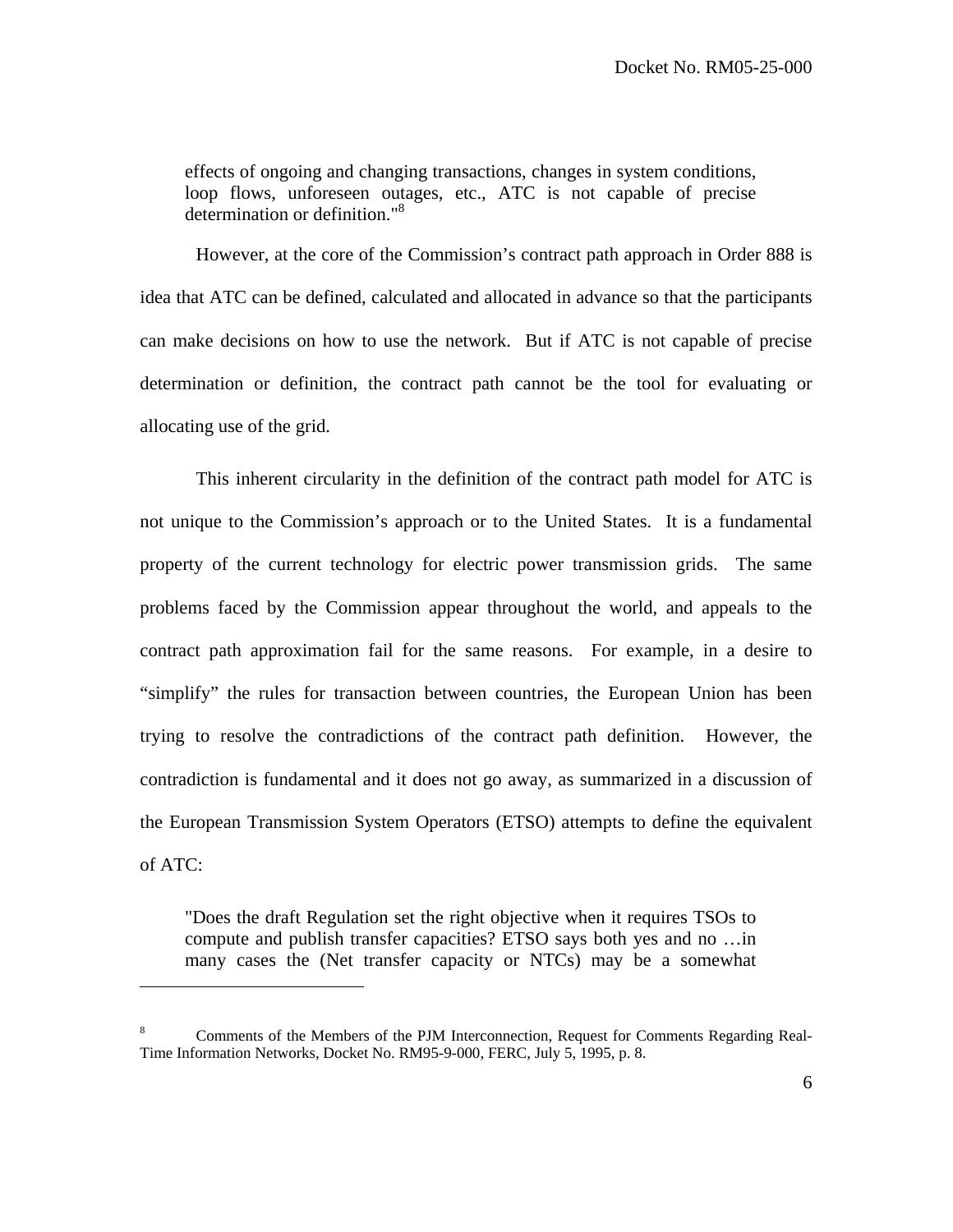effects of ongoing and changing transactions, changes in system conditions, loop flows, unforeseen outages, etc., ATC is not capable of precise determination or definition."8

 However, at the core of the Commission's contract path approach in Order 888 is idea that ATC can be defined, calculated and allocated in advance so that the participants can make decisions on how to use the network. But if ATC is not capable of precise determination or definition, the contract path cannot be the tool for evaluating or allocating use of the grid.

 This inherent circularity in the definition of the contract path model for ATC is not unique to the Commission's approach or to the United States. It is a fundamental property of the current technology for electric power transmission grids. The same problems faced by the Commission appear throughout the world, and appeals to the contract path approximation fail for the same reasons. For example, in a desire to "simplify" the rules for transaction between countries, the European Union has been trying to resolve the contradictions of the contract path definition. However, the contradiction is fundamental and it does not go away, as summarized in a discussion of the European Transmission System Operators (ETSO) attempts to define the equivalent of ATC:

"Does the draft Regulation set the right objective when it requires TSOs to compute and publish transfer capacities? ETSO says both yes and no …in many cases the (Net transfer capacity or NTCs) may be a somewhat

<sup>8</sup> Comments of the Members of the PJM Interconnection, Request for Comments Regarding Real-Time Information Networks, Docket No. RM95-9-000, FERC, July 5, 1995, p. 8.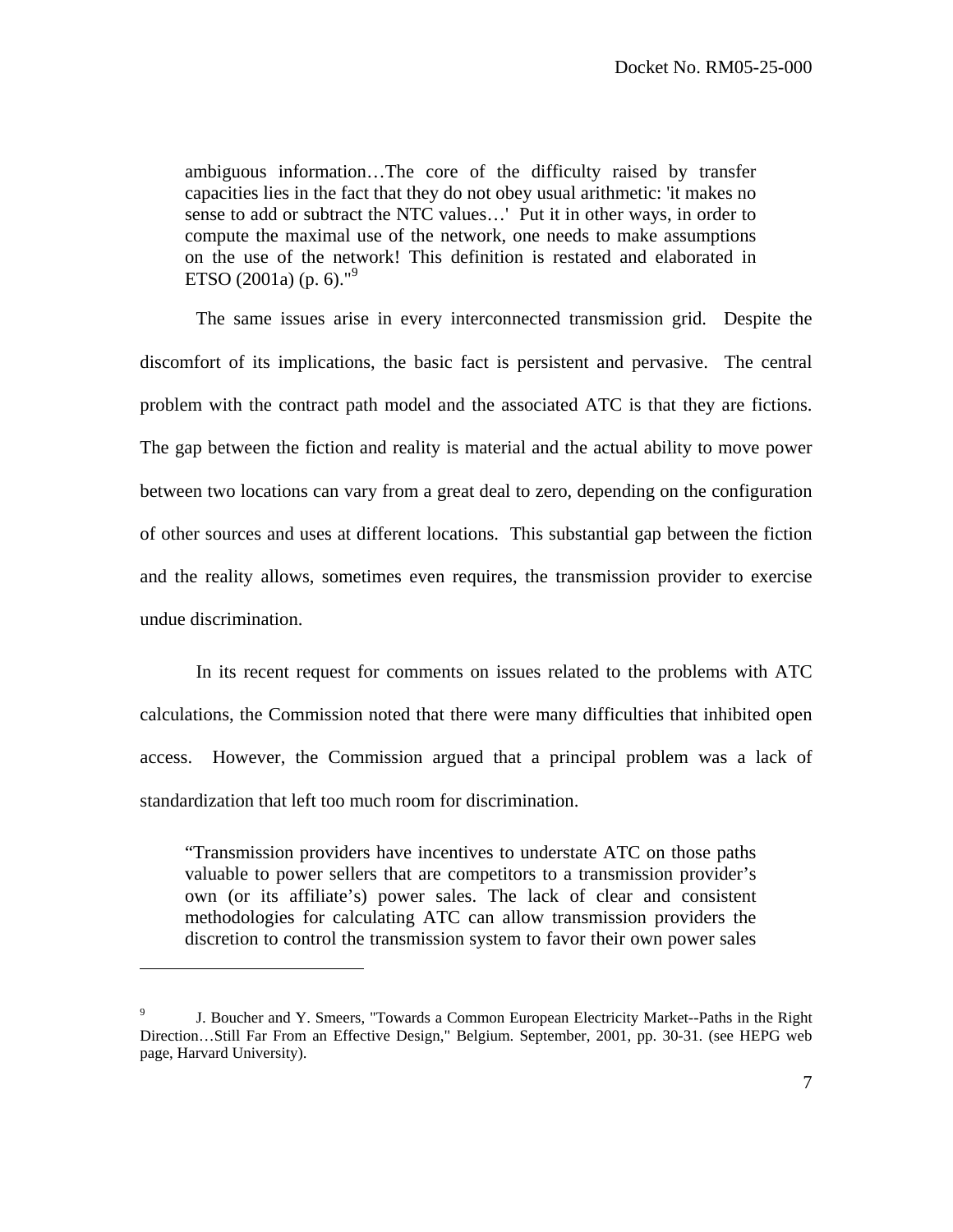ambiguous information…The core of the difficulty raised by transfer capacities lies in the fact that they do not obey usual arithmetic: 'it makes no sense to add or subtract the NTC values…' Put it in other ways, in order to compute the maximal use of the network, one needs to make assumptions on the use of the network! This definition is restated and elaborated in ETSO (2001a) (p. 6)."<sup>9</sup>

 The same issues arise in every interconnected transmission grid. Despite the discomfort of its implications, the basic fact is persistent and pervasive. The central problem with the contract path model and the associated ATC is that they are fictions. The gap between the fiction and reality is material and the actual ability to move power between two locations can vary from a great deal to zero, depending on the configuration of other sources and uses at different locations. This substantial gap between the fiction and the reality allows, sometimes even requires, the transmission provider to exercise undue discrimination.

 In its recent request for comments on issues related to the problems with ATC calculations, the Commission noted that there were many difficulties that inhibited open access. However, the Commission argued that a principal problem was a lack of standardization that left too much room for discrimination.

"Transmission providers have incentives to understate ATC on those paths valuable to power sellers that are competitors to a transmission provider's own (or its affiliate's) power sales. The lack of clear and consistent methodologies for calculating ATC can allow transmission providers the discretion to control the transmission system to favor their own power sales

1

<sup>9</sup> J. Boucher and Y. Smeers, "Towards a Common European Electricity Market--Paths in the Right Direction…Still Far From an Effective Design," Belgium. September, 2001, pp. 30-31. (see HEPG web page, Harvard University).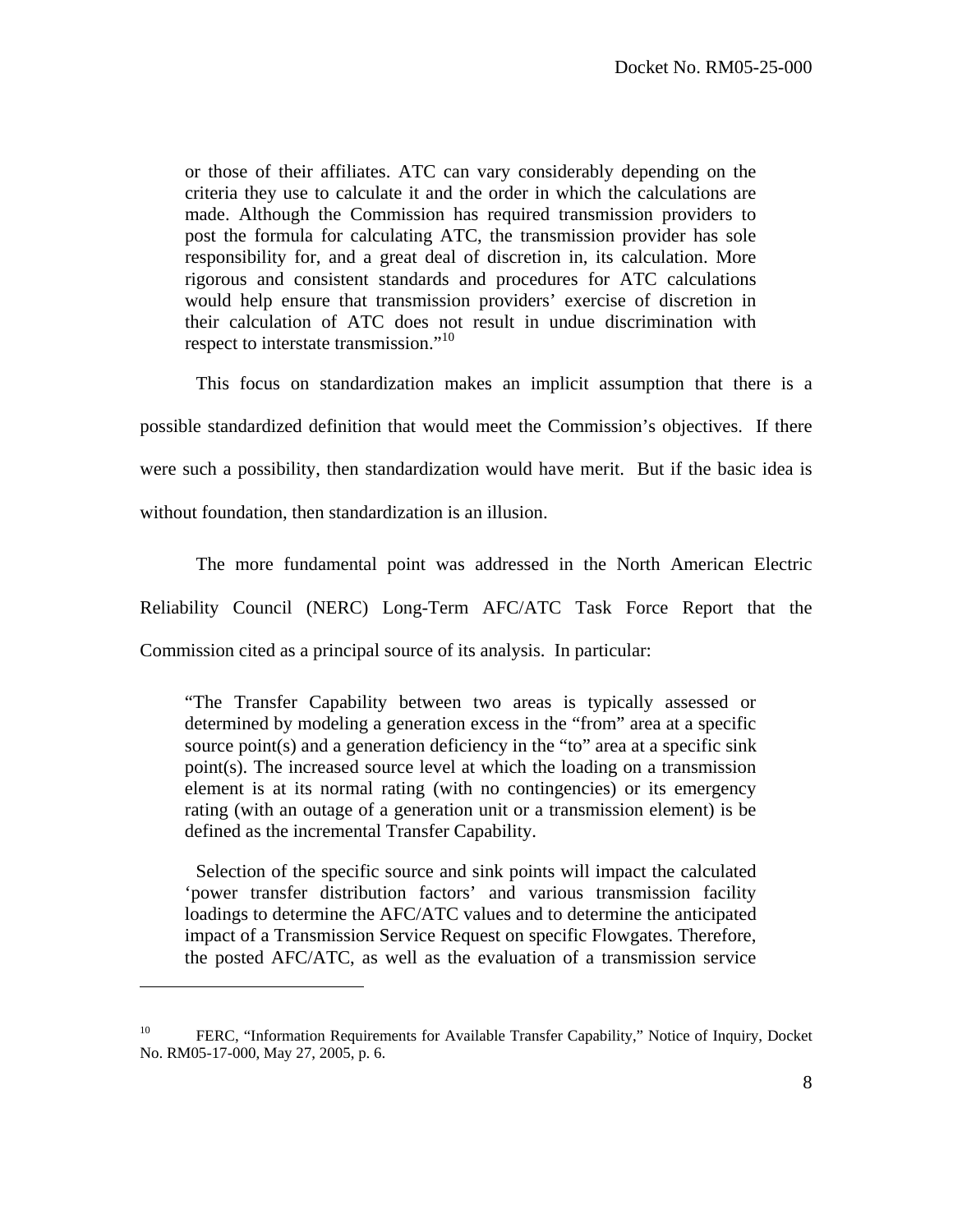or those of their affiliates. ATC can vary considerably depending on the criteria they use to calculate it and the order in which the calculations are made. Although the Commission has required transmission providers to post the formula for calculating ATC, the transmission provider has sole responsibility for, and a great deal of discretion in, its calculation. More rigorous and consistent standards and procedures for ATC calculations would help ensure that transmission providers' exercise of discretion in their calculation of ATC does not result in undue discrimination with respect to interstate transmission."<sup>10</sup>

 This focus on standardization makes an implicit assumption that there is a possible standardized definition that would meet the Commission's objectives. If there were such a possibility, then standardization would have merit. But if the basic idea is without foundation, then standardization is an illusion.

 The more fundamental point was addressed in the North American Electric Reliability Council (NERC) Long-Term AFC/ATC Task Force Report that the Commission cited as a principal source of its analysis. In particular:

"The Transfer Capability between two areas is typically assessed or determined by modeling a generation excess in the "from" area at a specific source point(s) and a generation deficiency in the "to" area at a specific sink point(s). The increased source level at which the loading on a transmission element is at its normal rating (with no contingencies) or its emergency rating (with an outage of a generation unit or a transmission element) is be defined as the incremental Transfer Capability.

 Selection of the specific source and sink points will impact the calculated 'power transfer distribution factors' and various transmission facility loadings to determine the AFC/ATC values and to determine the anticipated impact of a Transmission Service Request on specific Flowgates. Therefore, the posted AFC/ATC, as well as the evaluation of a transmission service

1

<sup>&</sup>lt;sup>10</sup> FERC, "Information Requirements for Available Transfer Capability," Notice of Inquiry, Docket No. RM05-17-000, May 27, 2005, p. 6.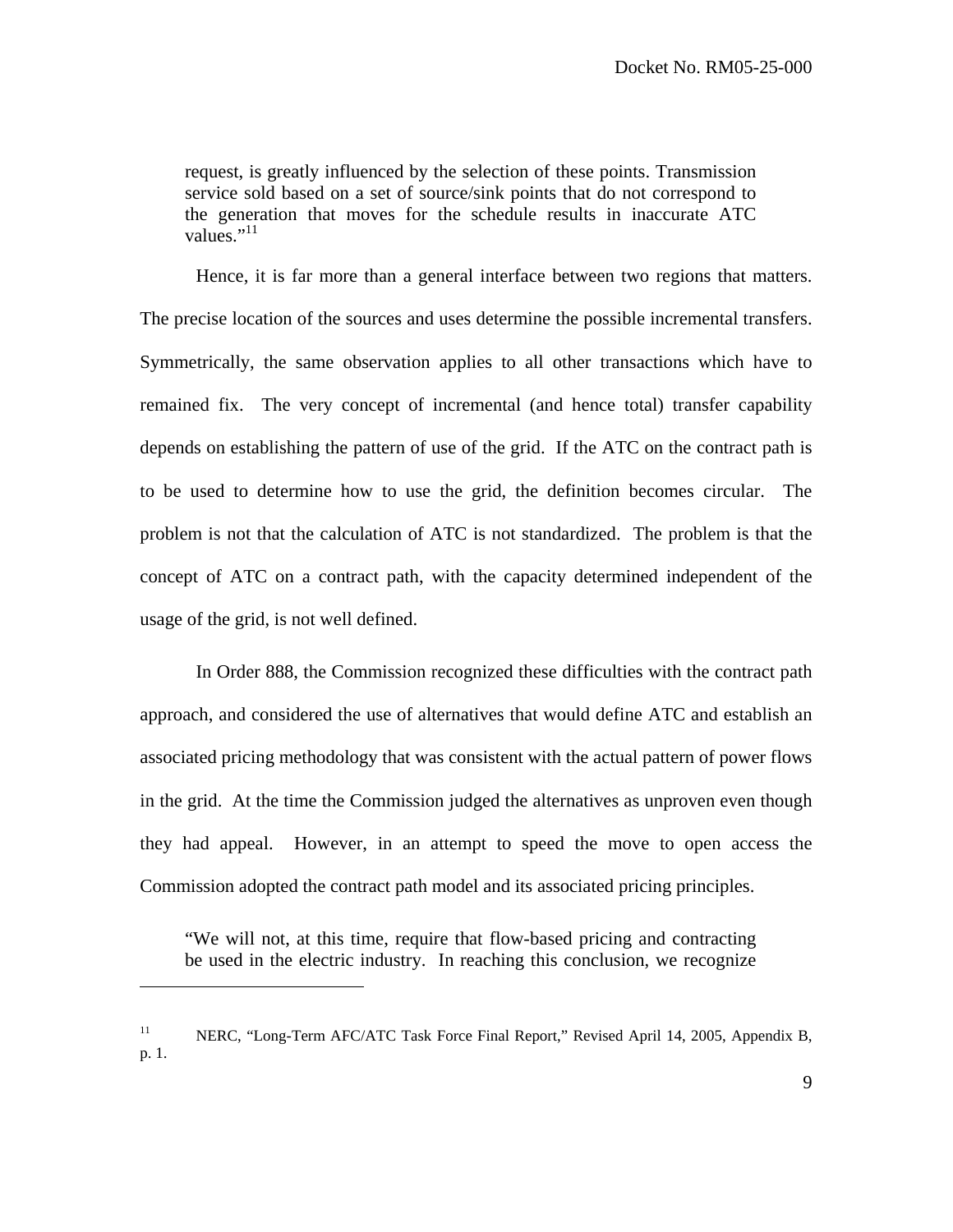request, is greatly influenced by the selection of these points. Transmission service sold based on a set of source/sink points that do not correspond to the generation that moves for the schedule results in inaccurate ATC values." $^{11}$ 

 Hence, it is far more than a general interface between two regions that matters. The precise location of the sources and uses determine the possible incremental transfers. Symmetrically, the same observation applies to all other transactions which have to remained fix. The very concept of incremental (and hence total) transfer capability depends on establishing the pattern of use of the grid. If the ATC on the contract path is to be used to determine how to use the grid, the definition becomes circular. The problem is not that the calculation of ATC is not standardized. The problem is that the concept of ATC on a contract path, with the capacity determined independent of the usage of the grid, is not well defined.

 In Order 888, the Commission recognized these difficulties with the contract path approach, and considered the use of alternatives that would define ATC and establish an associated pricing methodology that was consistent with the actual pattern of power flows in the grid. At the time the Commission judged the alternatives as unproven even though they had appeal. However, in an attempt to speed the move to open access the Commission adopted the contract path model and its associated pricing principles.

"We will not, at this time, require that flow-based pricing and contracting be used in the electric industry. In reaching this conclusion, we recognize

<sup>&</sup>lt;sup>11</sup> NERC, "Long-Term AFC/ATC Task Force Final Report," Revised April 14, 2005, Appendix B, p. 1.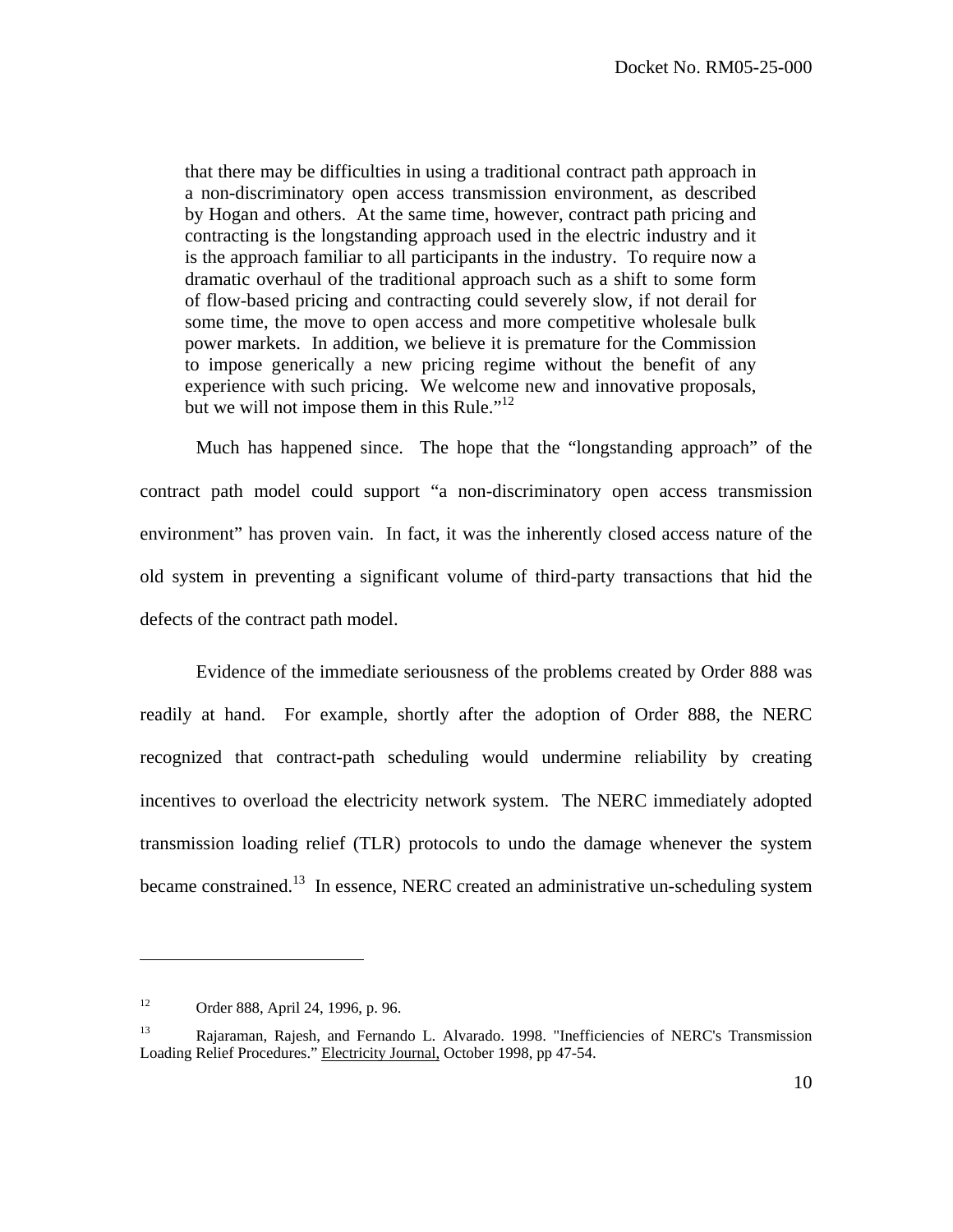that there may be difficulties in using a traditional contract path approach in a non-discriminatory open access transmission environment, as described by Hogan and others. At the same time, however, contract path pricing and contracting is the longstanding approach used in the electric industry and it is the approach familiar to all participants in the industry. To require now a dramatic overhaul of the traditional approach such as a shift to some form of flow-based pricing and contracting could severely slow, if not derail for some time, the move to open access and more competitive wholesale bulk power markets. In addition, we believe it is premature for the Commission to impose generically a new pricing regime without the benefit of any experience with such pricing. We welcome new and innovative proposals, but we will not impose them in this Rule."<sup>12</sup>

 Much has happened since. The hope that the "longstanding approach" of the contract path model could support "a non-discriminatory open access transmission environment" has proven vain. In fact, it was the inherently closed access nature of the old system in preventing a significant volume of third-party transactions that hid the defects of the contract path model.

Evidence of the immediate seriousness of the problems created by Order 888 was readily at hand. For example, shortly after the adoption of Order 888, the NERC recognized that contract-path scheduling would undermine reliability by creating incentives to overload the electricity network system. The NERC immediately adopted transmission loading relief (TLR) protocols to undo the damage whenever the system became constrained.<sup>13</sup> In essence, NERC created an administrative un-scheduling system

<sup>12</sup> Order 888, April 24, 1996, p. 96.

<sup>&</sup>lt;sup>13</sup> Rajaraman, Rajesh, and Fernando L. Alvarado. 1998. "Inefficiencies of NERC's Transmission Loading Relief Procedures." Electricity Journal, October 1998, pp 47-54.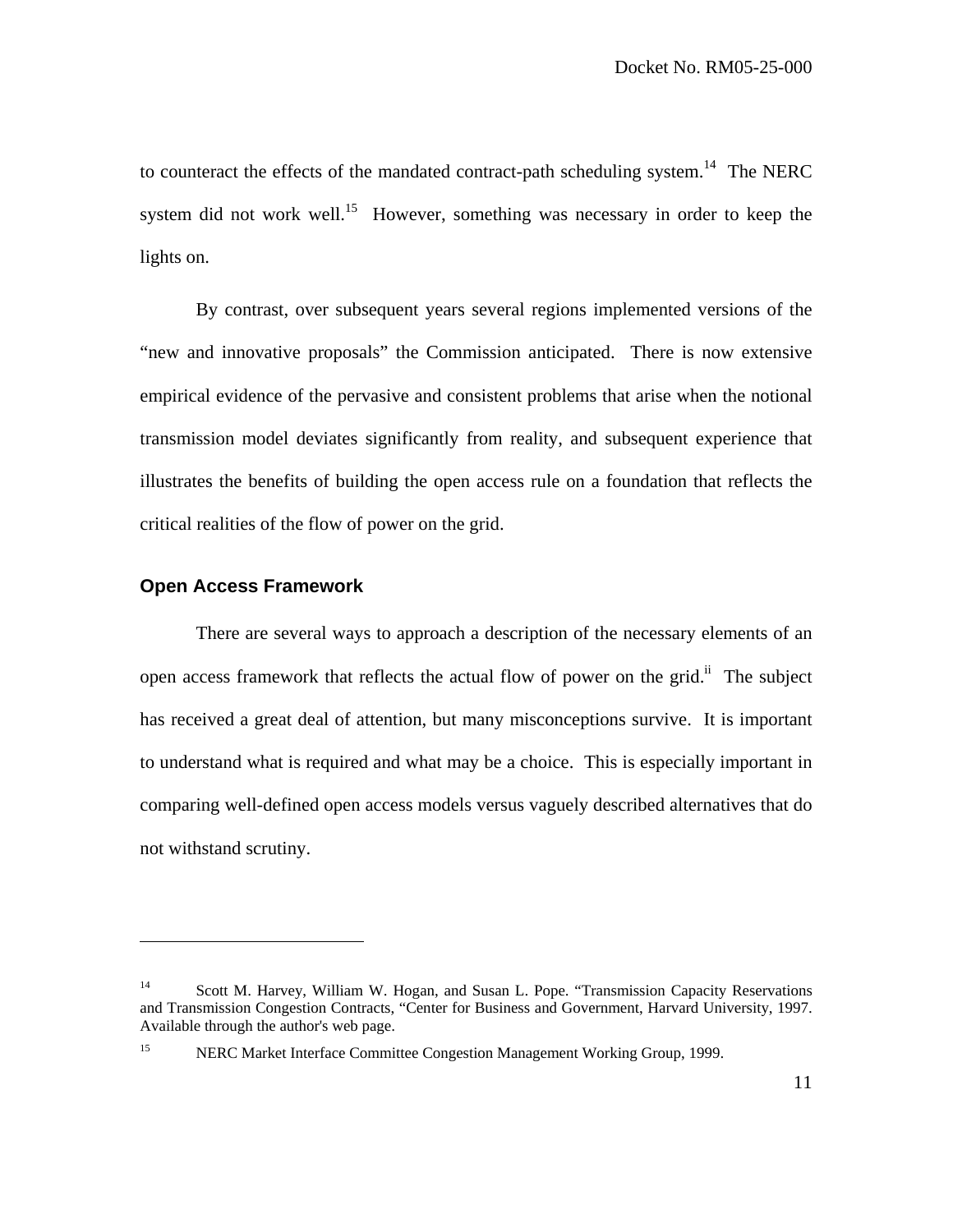to counteract the effects of the mandated contract-path scheduling system.<sup>14</sup> The NERC system did not work well.<sup>15</sup> However, something was necessary in order to keep the lights on.

By contrast, over subsequent years several regions implemented versions of the "new and innovative proposals" the Commission anticipated. There is now extensive empirical evidence of the pervasive and consistent problems that arise when the notional transmission model deviates significantly from reality, and subsequent experience that illustrates the benefits of building the open access rule on a foundation that reflects the critical realities of the flow of power on the grid.

#### **Open Access Framework**

 $\overline{a}$ 

 There are several ways to approach a description of the necessary elements of an open access framework that reflects the actual flow of power on the grid.<sup>ii</sup> The subject has received a great deal of attention, but many misconceptions survive. It is important to understand what is required and what may be a choice. This is especially important in comparing well-defined open access models versus vaguely described alternatives that do not withstand scrutiny.

<sup>&</sup>lt;sup>14</sup> Scott M. Harvey, William W. Hogan, and Susan L. Pope. "Transmission Capacity Reservations" and Transmission Congestion Contracts, "Center for Business and Government, Harvard University, 1997. Available through the author's web page.

<sup>&</sup>lt;sup>15</sup> NERC Market Interface Committee Congestion Management Working Group, 1999.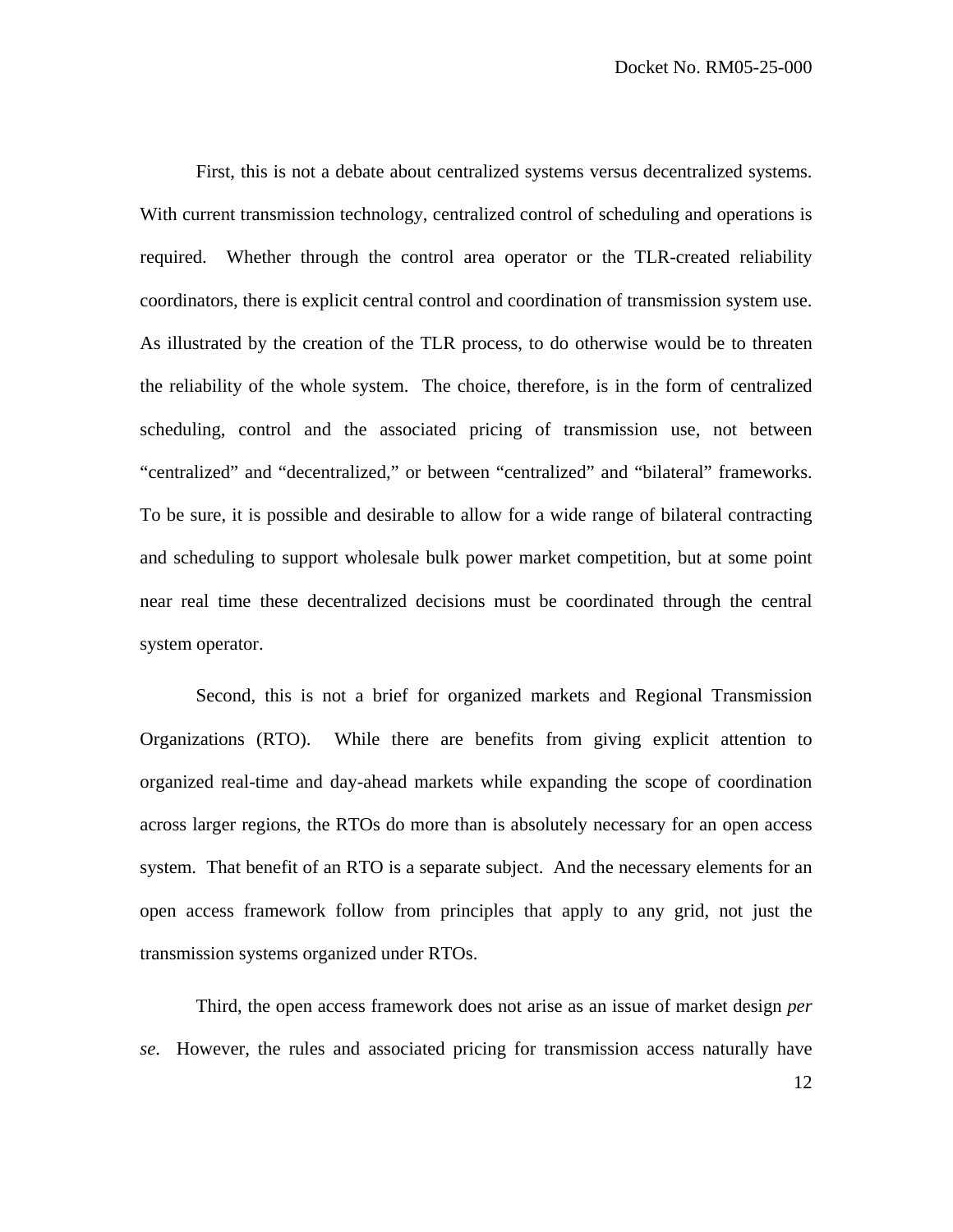First, this is not a debate about centralized systems versus decentralized systems. With current transmission technology, centralized control of scheduling and operations is required. Whether through the control area operator or the TLR-created reliability coordinators, there is explicit central control and coordination of transmission system use. As illustrated by the creation of the TLR process, to do otherwise would be to threaten the reliability of the whole system. The choice, therefore, is in the form of centralized scheduling, control and the associated pricing of transmission use, not between "centralized" and "decentralized," or between "centralized" and "bilateral" frameworks. To be sure, it is possible and desirable to allow for a wide range of bilateral contracting and scheduling to support wholesale bulk power market competition, but at some point near real time these decentralized decisions must be coordinated through the central system operator.

 Second, this is not a brief for organized markets and Regional Transmission Organizations (RTO). While there are benefits from giving explicit attention to organized real-time and day-ahead markets while expanding the scope of coordination across larger regions, the RTOs do more than is absolutely necessary for an open access system. That benefit of an RTO is a separate subject. And the necessary elements for an open access framework follow from principles that apply to any grid, not just the transmission systems organized under RTOs.

 Third, the open access framework does not arise as an issue of market design *per se*. However, the rules and associated pricing for transmission access naturally have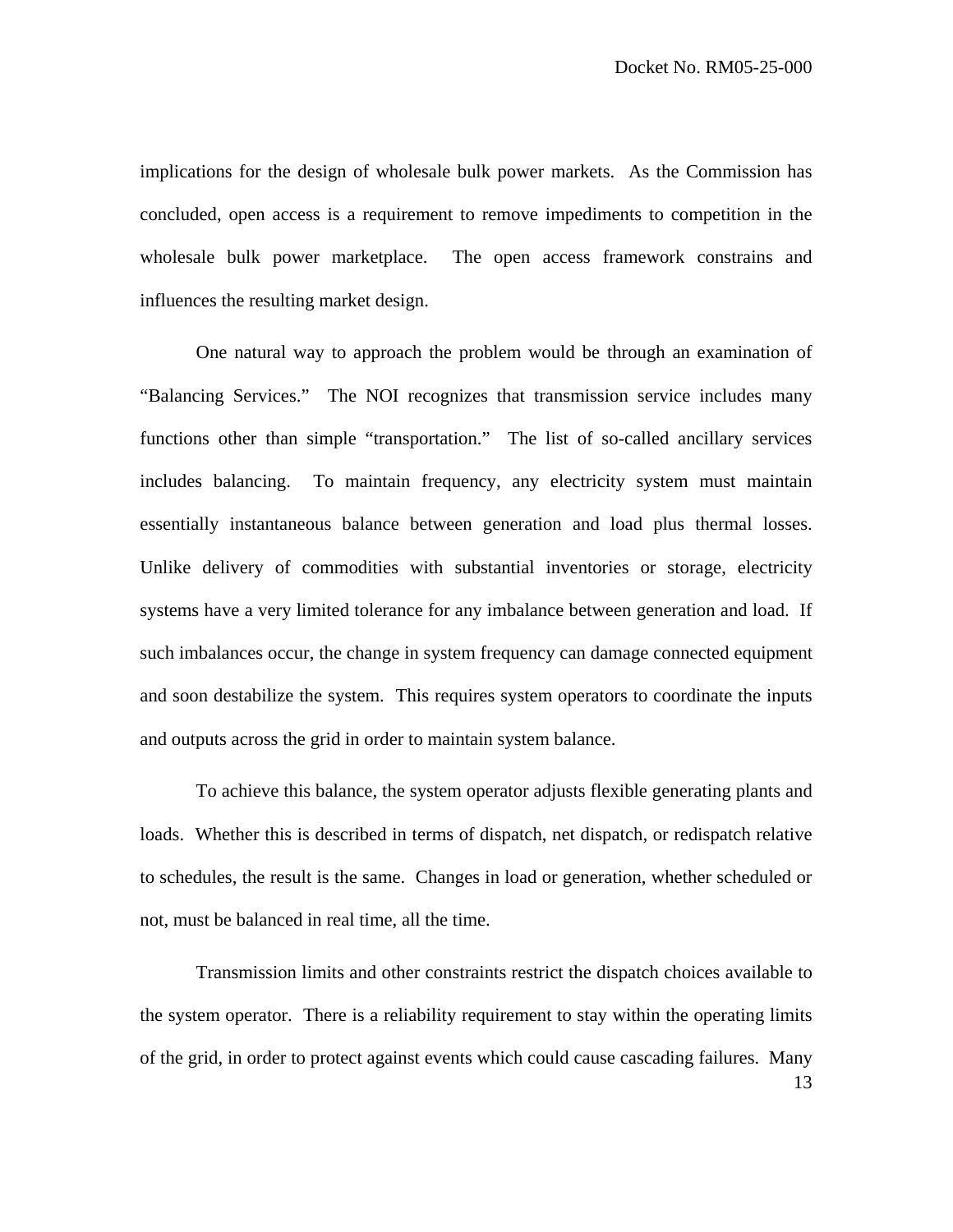implications for the design of wholesale bulk power markets. As the Commission has concluded, open access is a requirement to remove impediments to competition in the wholesale bulk power marketplace. The open access framework constrains and influences the resulting market design.

 One natural way to approach the problem would be through an examination of "Balancing Services." The NOI recognizes that transmission service includes many functions other than simple "transportation." The list of so-called ancillary services includes balancing. To maintain frequency, any electricity system must maintain essentially instantaneous balance between generation and load plus thermal losses. Unlike delivery of commodities with substantial inventories or storage, electricity systems have a very limited tolerance for any imbalance between generation and load. If such imbalances occur, the change in system frequency can damage connected equipment and soon destabilize the system. This requires system operators to coordinate the inputs and outputs across the grid in order to maintain system balance.

 To achieve this balance, the system operator adjusts flexible generating plants and loads. Whether this is described in terms of dispatch, net dispatch, or redispatch relative to schedules, the result is the same. Changes in load or generation, whether scheduled or not, must be balanced in real time, all the time.

13 Transmission limits and other constraints restrict the dispatch choices available to the system operator. There is a reliability requirement to stay within the operating limits of the grid, in order to protect against events which could cause cascading failures. Many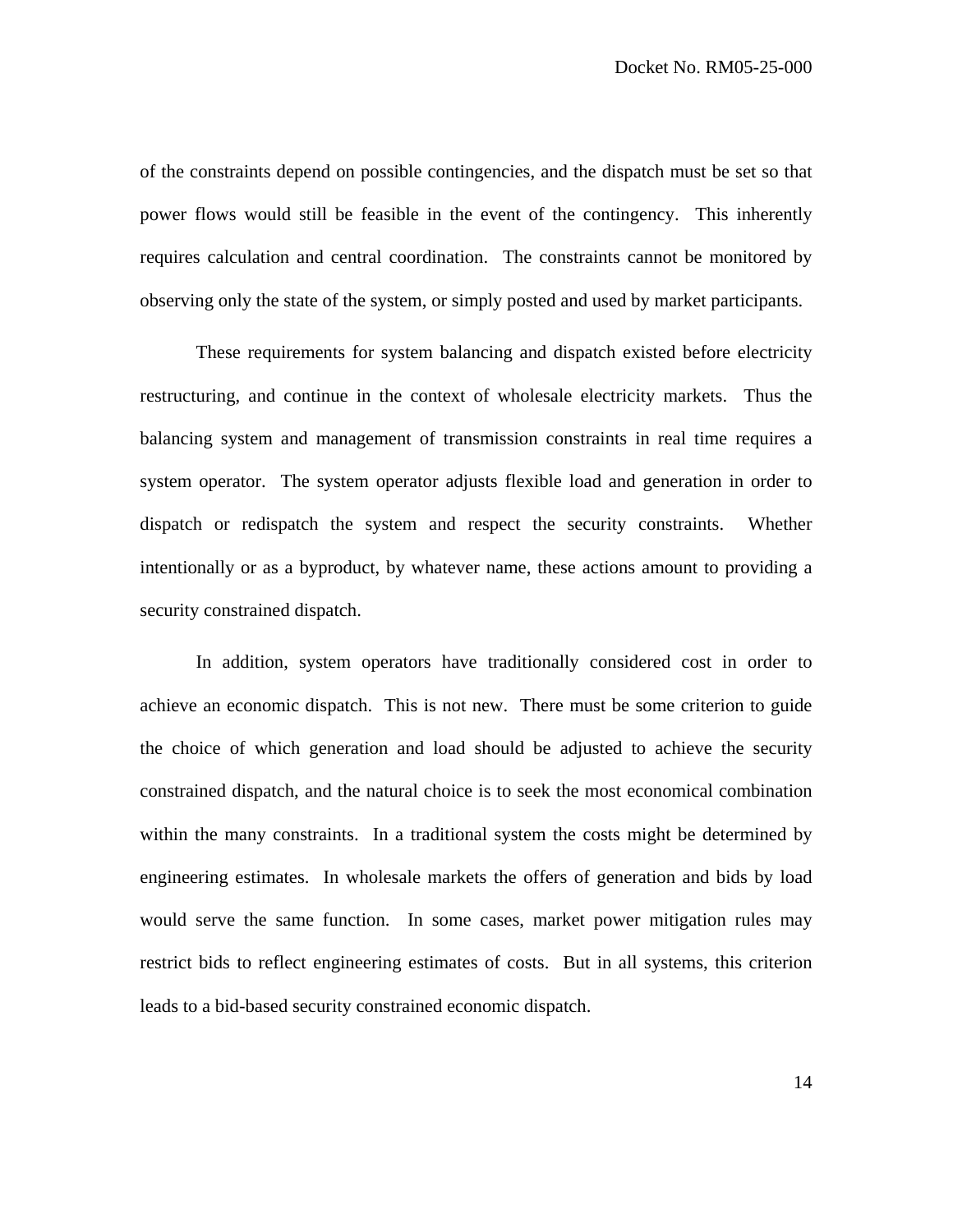of the constraints depend on possible contingencies, and the dispatch must be set so that power flows would still be feasible in the event of the contingency. This inherently requires calculation and central coordination. The constraints cannot be monitored by observing only the state of the system, or simply posted and used by market participants.

These requirements for system balancing and dispatch existed before electricity restructuring, and continue in the context of wholesale electricity markets. Thus the balancing system and management of transmission constraints in real time requires a system operator. The system operator adjusts flexible load and generation in order to dispatch or redispatch the system and respect the security constraints. Whether intentionally or as a byproduct, by whatever name, these actions amount to providing a security constrained dispatch.

In addition, system operators have traditionally considered cost in order to achieve an economic dispatch. This is not new. There must be some criterion to guide the choice of which generation and load should be adjusted to achieve the security constrained dispatch, and the natural choice is to seek the most economical combination within the many constraints. In a traditional system the costs might be determined by engineering estimates. In wholesale markets the offers of generation and bids by load would serve the same function. In some cases, market power mitigation rules may restrict bids to reflect engineering estimates of costs. But in all systems, this criterion leads to a bid-based security constrained economic dispatch.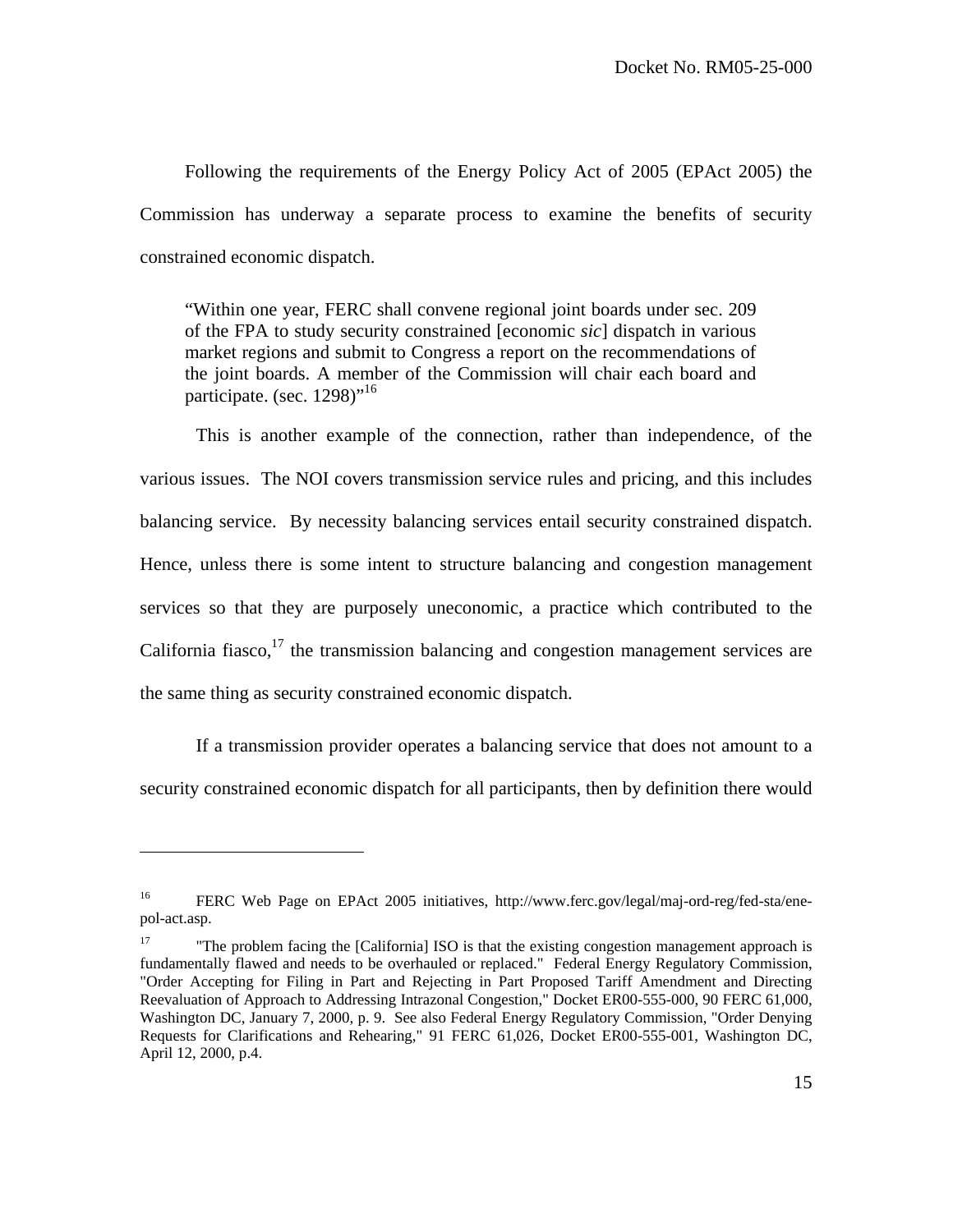Following the requirements of the Energy Policy Act of 2005 (EPAct 2005) the Commission has underway a separate process to examine the benefits of security constrained economic dispatch.

"Within one year, FERC shall convene regional joint boards under sec. 209 of the FPA to study security constrained [economic *sic*] dispatch in various market regions and submit to Congress a report on the recommendations of the joint boards. A member of the Commission will chair each board and participate. (sec.  $1298$ )"<sup>16</sup>

 This is another example of the connection, rather than independence, of the various issues. The NOI covers transmission service rules and pricing, and this includes balancing service. By necessity balancing services entail security constrained dispatch. Hence, unless there is some intent to structure balancing and congestion management services so that they are purposely uneconomic, a practice which contributed to the California fiasco, $17$  the transmission balancing and congestion management services are the same thing as security constrained economic dispatch.

 If a transmission provider operates a balancing service that does not amount to a security constrained economic dispatch for all participants, then by definition there would

<sup>&</sup>lt;sup>16</sup> FERC Web Page on EPAct 2005 initiatives, http://www.ferc.gov/legal/maj-ord-reg/fed-sta/enepol-act.asp.

<sup>&</sup>lt;sup>17</sup> "The problem facing the [California] ISO is that the existing congestion management approach is fundamentally flawed and needs to be overhauled or replaced." Federal Energy Regulatory Commission, "Order Accepting for Filing in Part and Rejecting in Part Proposed Tariff Amendment and Directing Reevaluation of Approach to Addressing Intrazonal Congestion," Docket ER00-555-000, 90 FERC 61,000, Washington DC, January 7, 2000, p. 9. See also Federal Energy Regulatory Commission, "Order Denying Requests for Clarifications and Rehearing," 91 FERC 61,026, Docket ER00-555-001, Washington DC, April 12, 2000, p.4.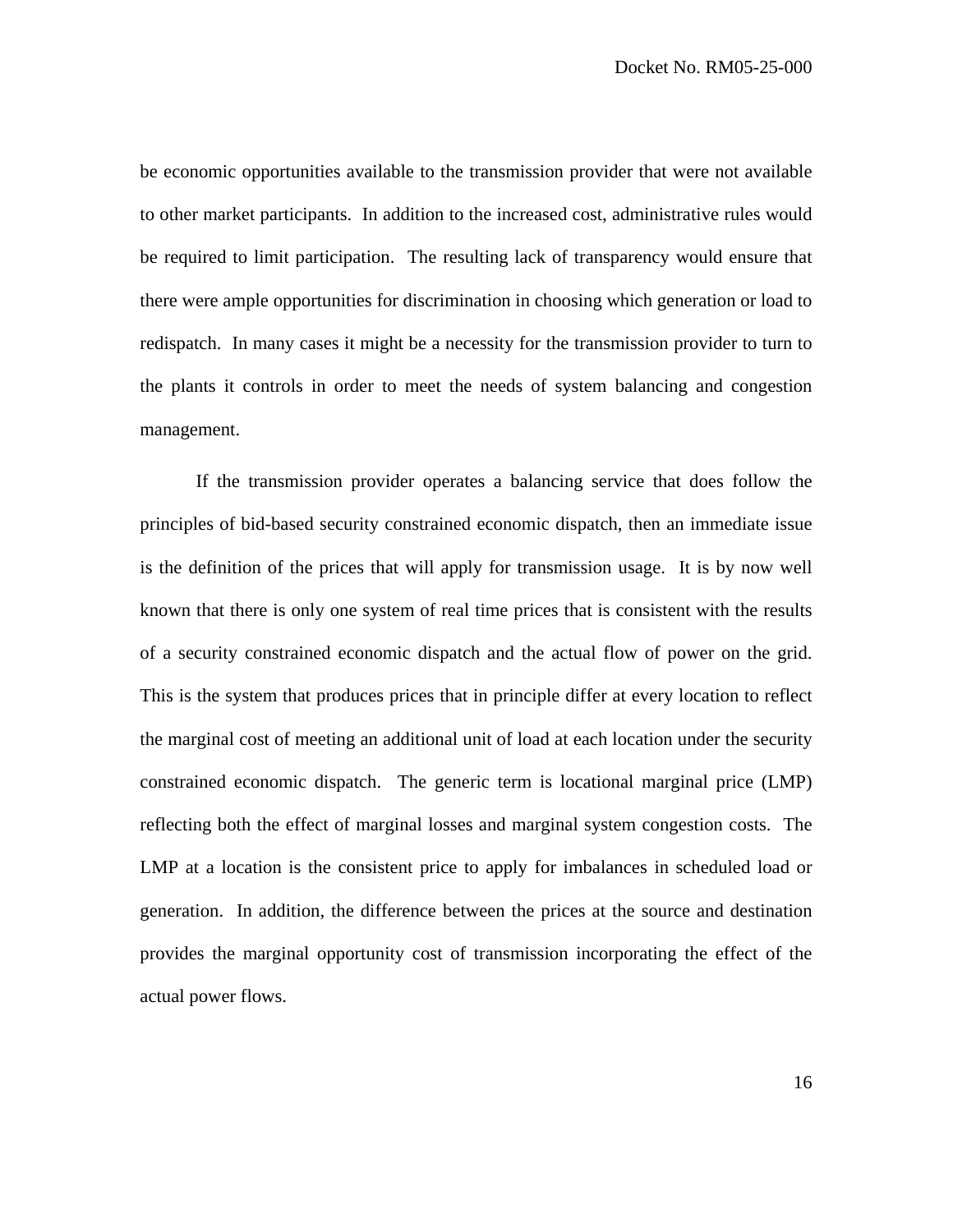be economic opportunities available to the transmission provider that were not available to other market participants. In addition to the increased cost, administrative rules would be required to limit participation. The resulting lack of transparency would ensure that there were ample opportunities for discrimination in choosing which generation or load to redispatch. In many cases it might be a necessity for the transmission provider to turn to the plants it controls in order to meet the needs of system balancing and congestion management.

 If the transmission provider operates a balancing service that does follow the principles of bid-based security constrained economic dispatch, then an immediate issue is the definition of the prices that will apply for transmission usage. It is by now well known that there is only one system of real time prices that is consistent with the results of a security constrained economic dispatch and the actual flow of power on the grid. This is the system that produces prices that in principle differ at every location to reflect the marginal cost of meeting an additional unit of load at each location under the security constrained economic dispatch. The generic term is locational marginal price (LMP) reflecting both the effect of marginal losses and marginal system congestion costs. The LMP at a location is the consistent price to apply for imbalances in scheduled load or generation. In addition, the difference between the prices at the source and destination provides the marginal opportunity cost of transmission incorporating the effect of the actual power flows.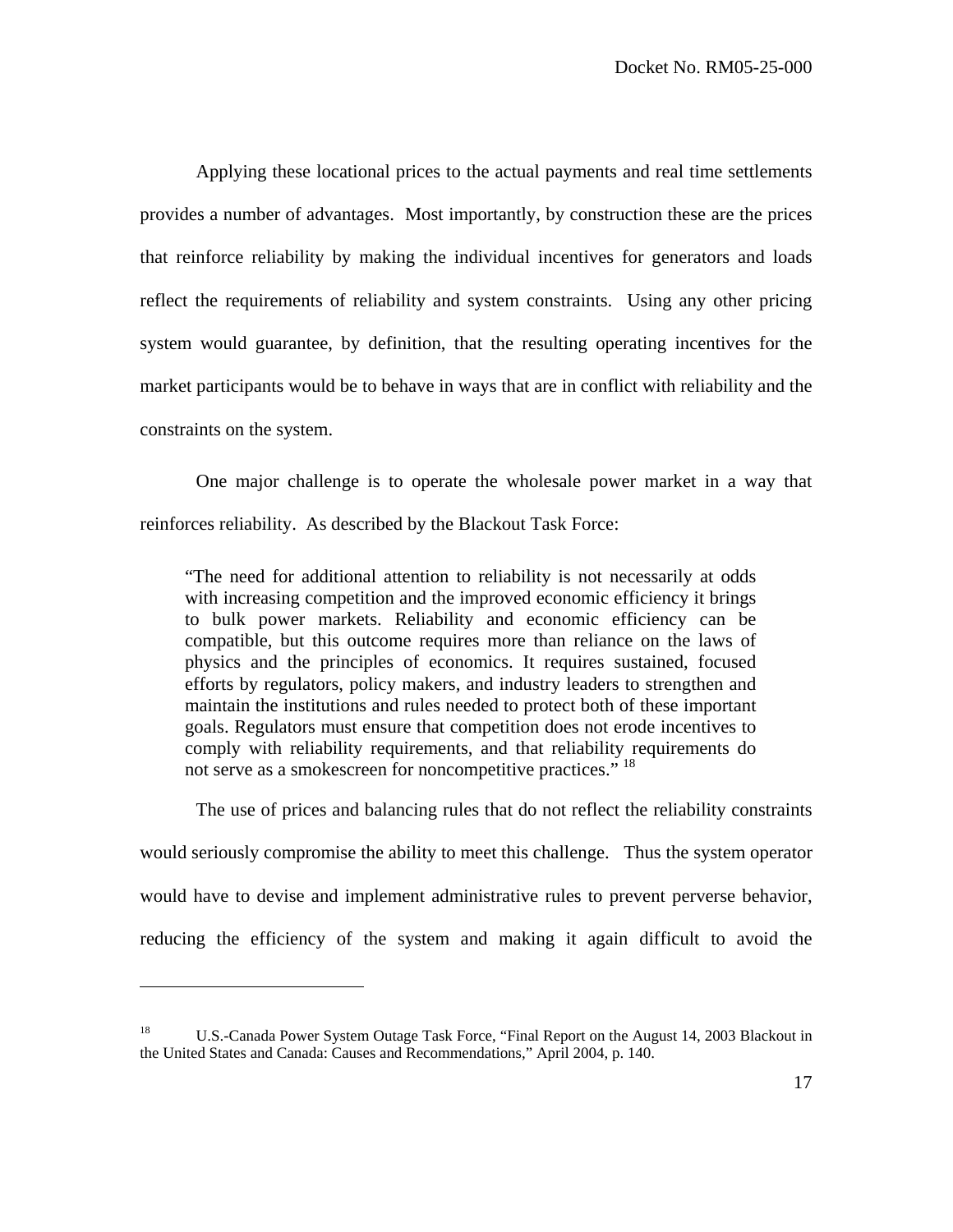Applying these locational prices to the actual payments and real time settlements provides a number of advantages. Most importantly, by construction these are the prices that reinforce reliability by making the individual incentives for generators and loads reflect the requirements of reliability and system constraints. Using any other pricing system would guarantee, by definition, that the resulting operating incentives for the market participants would be to behave in ways that are in conflict with reliability and the constraints on the system.

 One major challenge is to operate the wholesale power market in a way that reinforces reliability. As described by the Blackout Task Force:

"The need for additional attention to reliability is not necessarily at odds with increasing competition and the improved economic efficiency it brings to bulk power markets. Reliability and economic efficiency can be compatible, but this outcome requires more than reliance on the laws of physics and the principles of economics. It requires sustained, focused efforts by regulators, policy makers, and industry leaders to strengthen and maintain the institutions and rules needed to protect both of these important goals. Regulators must ensure that competition does not erode incentives to comply with reliability requirements, and that reliability requirements do not serve as a smokescreen for noncompetitive practices."<sup>18</sup>

 The use of prices and balancing rules that do not reflect the reliability constraints would seriously compromise the ability to meet this challenge. Thus the system operator would have to devise and implement administrative rules to prevent perverse behavior, reducing the efficiency of the system and making it again difficult to avoid the

<sup>&</sup>lt;sup>18</sup> U.S.-Canada Power System Outage Task Force, "Final Report on the August 14, 2003 Blackout in the United States and Canada: Causes and Recommendations," April 2004, p. 140.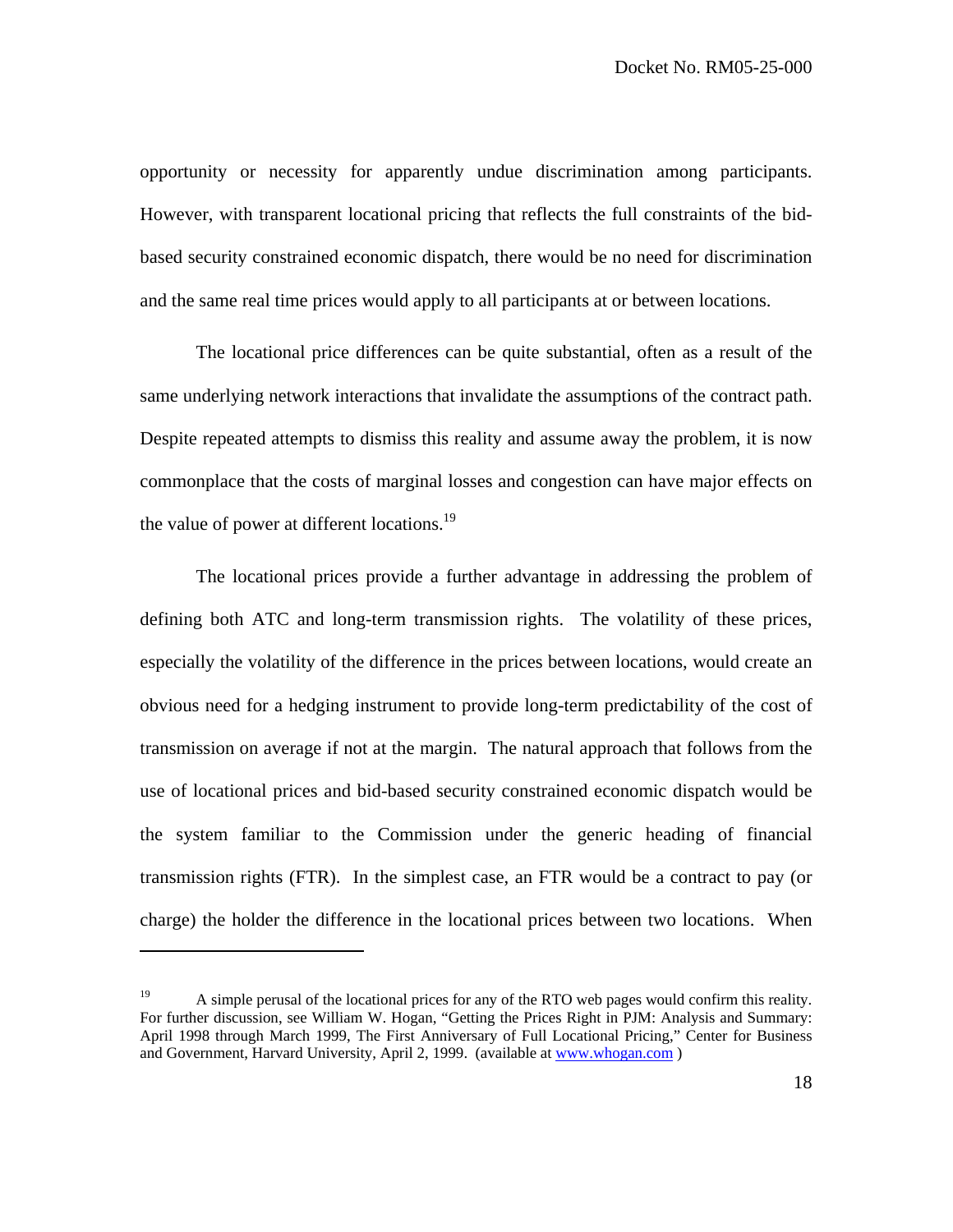opportunity or necessity for apparently undue discrimination among participants. However, with transparent locational pricing that reflects the full constraints of the bidbased security constrained economic dispatch, there would be no need for discrimination and the same real time prices would apply to all participants at or between locations.

 The locational price differences can be quite substantial, often as a result of the same underlying network interactions that invalidate the assumptions of the contract path. Despite repeated attempts to dismiss this reality and assume away the problem, it is now commonplace that the costs of marginal losses and congestion can have major effects on the value of power at different locations.<sup>19</sup>

 The locational prices provide a further advantage in addressing the problem of defining both ATC and long-term transmission rights. The volatility of these prices, especially the volatility of the difference in the prices between locations, would create an obvious need for a hedging instrument to provide long-term predictability of the cost of transmission on average if not at the margin. The natural approach that follows from the use of locational prices and bid-based security constrained economic dispatch would be the system familiar to the Commission under the generic heading of financial transmission rights (FTR). In the simplest case, an FTR would be a contract to pay (or charge) the holder the difference in the locational prices between two locations. When

<sup>&</sup>lt;sup>19</sup> A simple perusal of the locational prices for any of the RTO web pages would confirm this reality. For further discussion, see William W. Hogan, "Getting the Prices Right in PJM: Analysis and Summary: April 1998 through March 1999, The First Anniversary of Full Locational Pricing," Center for Business and Government, Harvard University, April 2, 1999. (available at www.whogan.com )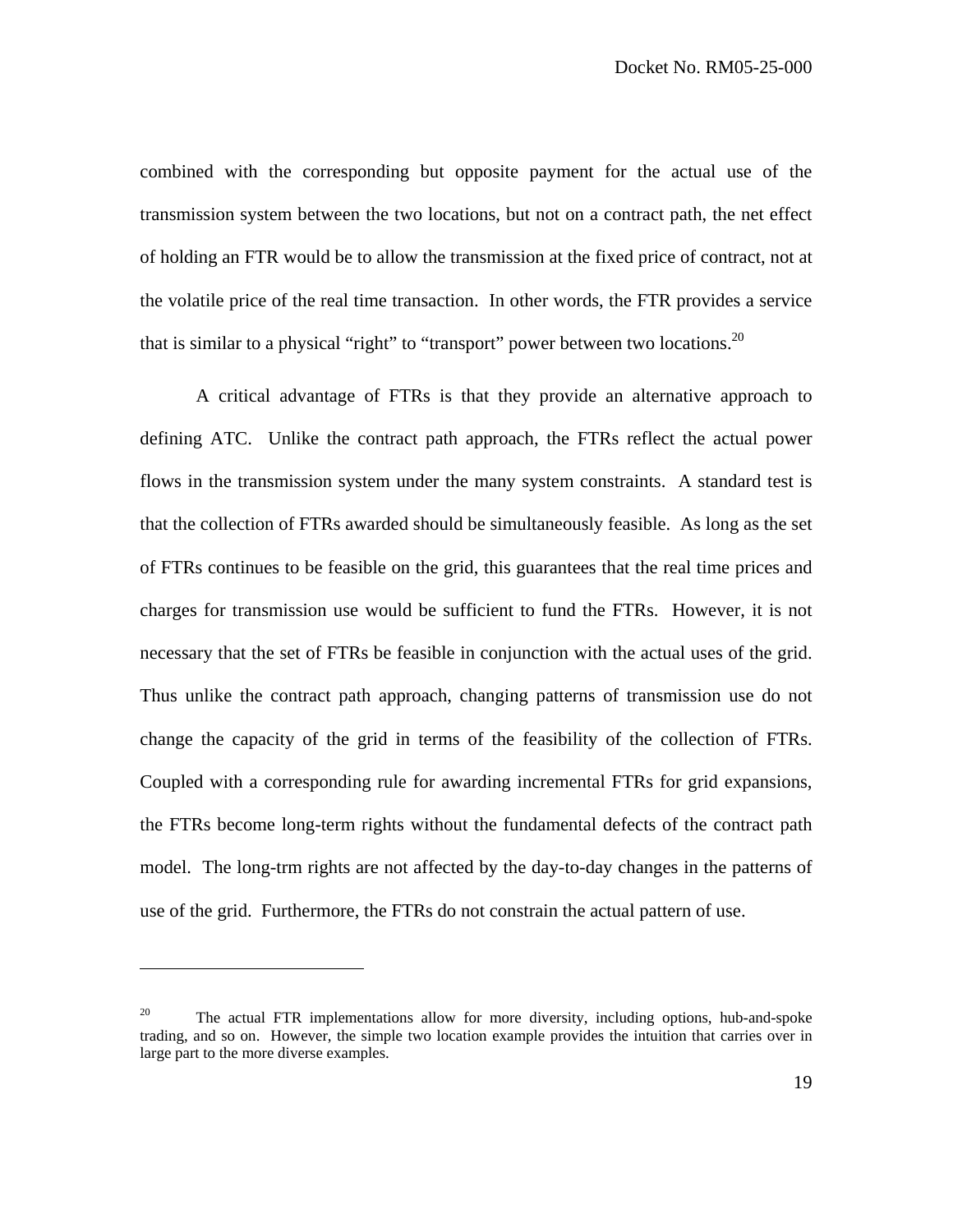combined with the corresponding but opposite payment for the actual use of the transmission system between the two locations, but not on a contract path, the net effect of holding an FTR would be to allow the transmission at the fixed price of contract, not at the volatile price of the real time transaction. In other words, the FTR provides a service that is similar to a physical "right" to "transport" power between two locations.<sup>20</sup>

 A critical advantage of FTRs is that they provide an alternative approach to defining ATC. Unlike the contract path approach, the FTRs reflect the actual power flows in the transmission system under the many system constraints. A standard test is that the collection of FTRs awarded should be simultaneously feasible. As long as the set of FTRs continues to be feasible on the grid, this guarantees that the real time prices and charges for transmission use would be sufficient to fund the FTRs. However, it is not necessary that the set of FTRs be feasible in conjunction with the actual uses of the grid. Thus unlike the contract path approach, changing patterns of transmission use do not change the capacity of the grid in terms of the feasibility of the collection of FTRs. Coupled with a corresponding rule for awarding incremental FTRs for grid expansions, the FTRs become long-term rights without the fundamental defects of the contract path model. The long-trm rights are not affected by the day-to-day changes in the patterns of use of the grid. Furthermore, the FTRs do not constrain the actual pattern of use.

<sup>&</sup>lt;sup>20</sup> The actual FTR implementations allow for more diversity, including options, hub-and-spoke trading, and so on. However, the simple two location example provides the intuition that carries over in large part to the more diverse examples.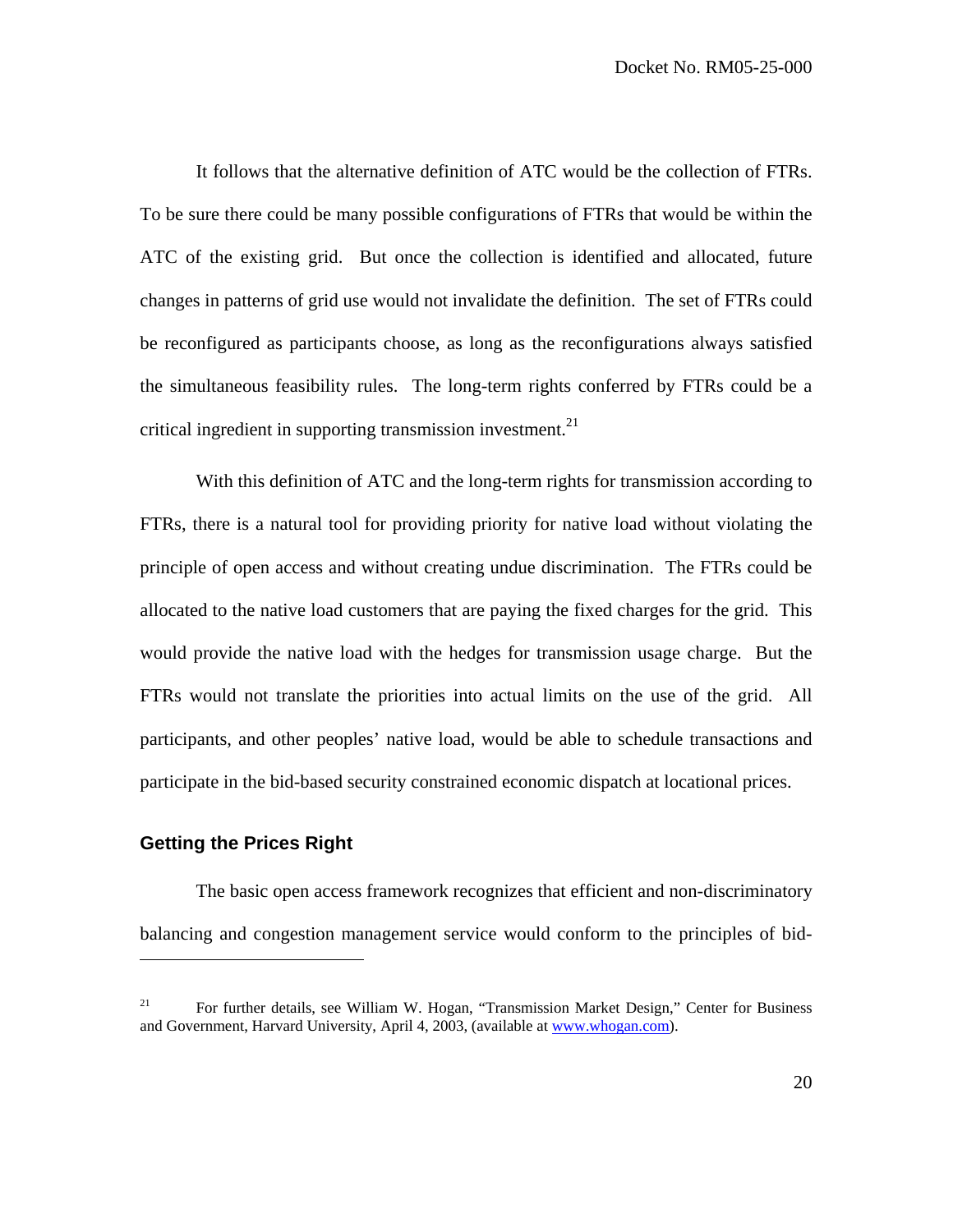It follows that the alternative definition of ATC would be the collection of FTRs. To be sure there could be many possible configurations of FTRs that would be within the ATC of the existing grid. But once the collection is identified and allocated, future changes in patterns of grid use would not invalidate the definition. The set of FTRs could be reconfigured as participants choose, as long as the reconfigurations always satisfied the simultaneous feasibility rules. The long-term rights conferred by FTRs could be a critical ingredient in supporting transmission investment.<sup>21</sup>

 With this definition of ATC and the long-term rights for transmission according to FTRs, there is a natural tool for providing priority for native load without violating the principle of open access and without creating undue discrimination. The FTRs could be allocated to the native load customers that are paying the fixed charges for the grid. This would provide the native load with the hedges for transmission usage charge. But the FTRs would not translate the priorities into actual limits on the use of the grid. All participants, and other peoples' native load, would be able to schedule transactions and participate in the bid-based security constrained economic dispatch at locational prices.

## **Getting the Prices Right**

 $\overline{a}$ 

 The basic open access framework recognizes that efficient and non-discriminatory balancing and congestion management service would conform to the principles of bid-

<sup>&</sup>lt;sup>21</sup> For further details, see William W. Hogan, "Transmission Market Design," Center for Business and Government, Harvard University, April 4, 2003, (available at www.whogan.com).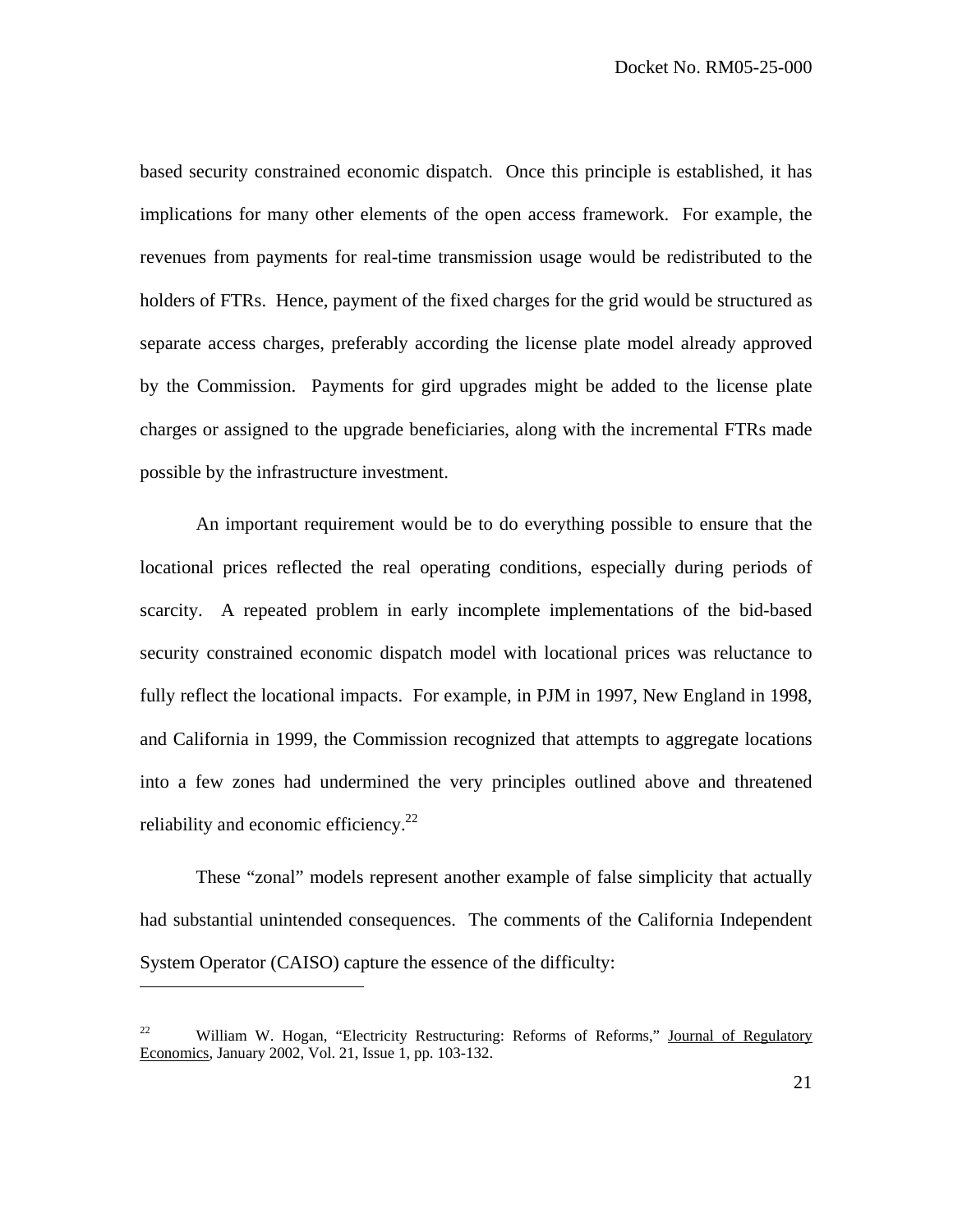based security constrained economic dispatch. Once this principle is established, it has implications for many other elements of the open access framework. For example, the revenues from payments for real-time transmission usage would be redistributed to the holders of FTRs. Hence, payment of the fixed charges for the grid would be structured as separate access charges, preferably according the license plate model already approved by the Commission. Payments for gird upgrades might be added to the license plate charges or assigned to the upgrade beneficiaries, along with the incremental FTRs made possible by the infrastructure investment.

 An important requirement would be to do everything possible to ensure that the locational prices reflected the real operating conditions, especially during periods of scarcity. A repeated problem in early incomplete implementations of the bid-based security constrained economic dispatch model with locational prices was reluctance to fully reflect the locational impacts. For example, in PJM in 1997, New England in 1998, and California in 1999, the Commission recognized that attempts to aggregate locations into a few zones had undermined the very principles outlined above and threatened reliability and economic efficiency.<sup>22</sup>

 These "zonal" models represent another example of false simplicity that actually had substantial unintended consequences. The comments of the California Independent System Operator (CAISO) capture the essence of the difficulty:

<sup>&</sup>lt;sup>22</sup> William W. Hogan, "Electricity Restructuring: Reforms of Reforms," Journal of Regulatory Economics, January 2002, Vol. 21, Issue 1, pp. 103-132.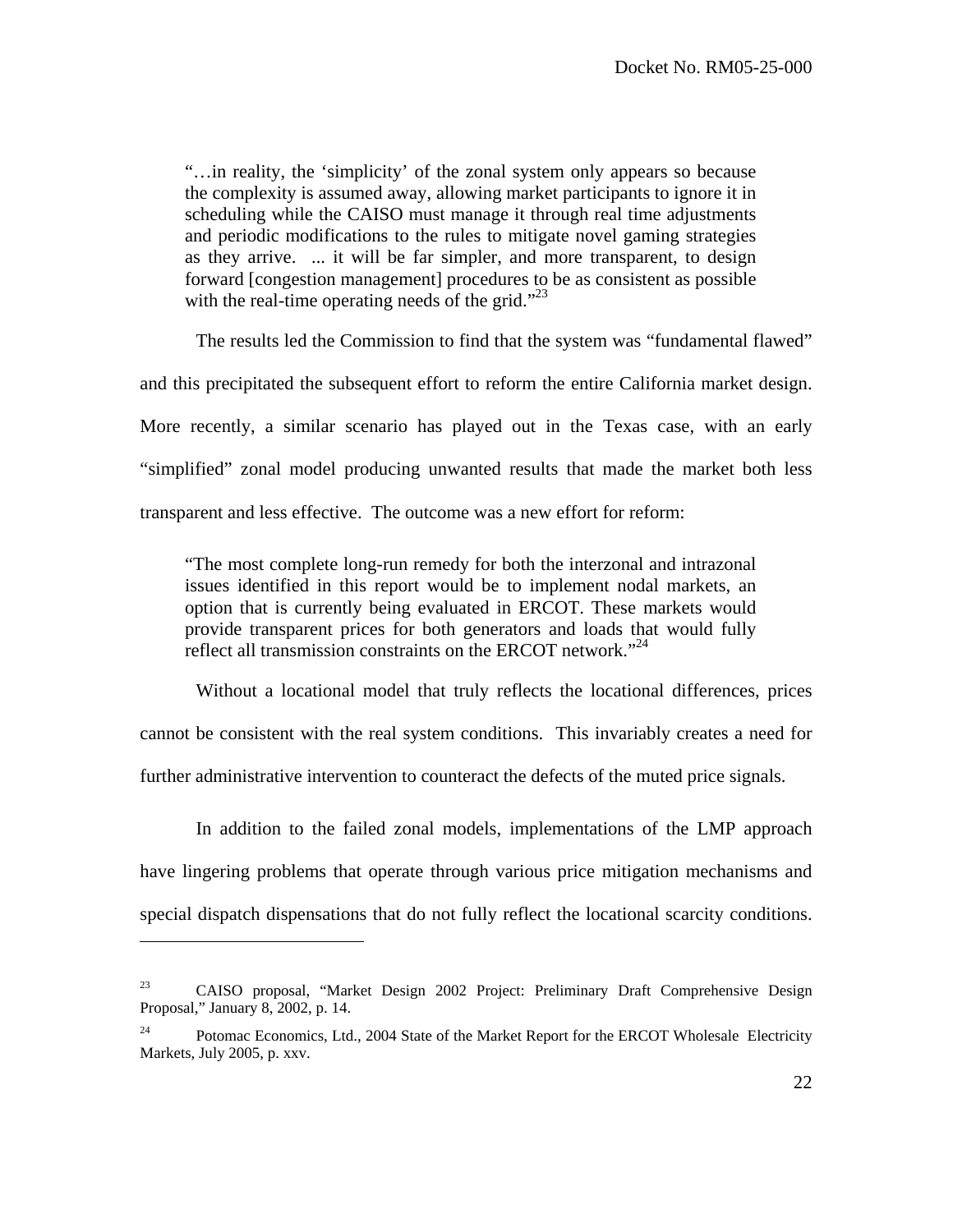"…in reality, the 'simplicity' of the zonal system only appears so because the complexity is assumed away, allowing market participants to ignore it in scheduling while the CAISO must manage it through real time adjustments and periodic modifications to the rules to mitigate novel gaming strategies as they arrive. ... it will be far simpler, and more transparent, to design forward [congestion management] procedures to be as consistent as possible with the real-time operating needs of the grid." $^{23}$ 

The results led the Commission to find that the system was "fundamental flawed"

and this precipitated the subsequent effort to reform the entire California market design.

More recently, a similar scenario has played out in the Texas case, with an early "simplified" zonal model producing unwanted results that made the market both less transparent and less effective. The outcome was a new effort for reform:

"The most complete long-run remedy for both the interzonal and intrazonal issues identified in this report would be to implement nodal markets, an option that is currently being evaluated in ERCOT. These markets would provide transparent prices for both generators and loads that would fully reflect all transmission constraints on the ERCOT network."<sup>24</sup>

 Without a locational model that truly reflects the locational differences, prices cannot be consistent with the real system conditions. This invariably creates a need for further administrative intervention to counteract the defects of the muted price signals.

 In addition to the failed zonal models, implementations of the LMP approach have lingering problems that operate through various price mitigation mechanisms and special dispatch dispensations that do not fully reflect the locational scarcity conditions.

 $23$  CAISO proposal, "Market Design 2002 Project: Preliminary Draft Comprehensive Design Proposal," January 8, 2002, p. 14.

 $24$  Potomac Economics, Ltd., 2004 State of the Market Report for the ERCOT Wholesale Electricity Markets, July 2005, p. xxv.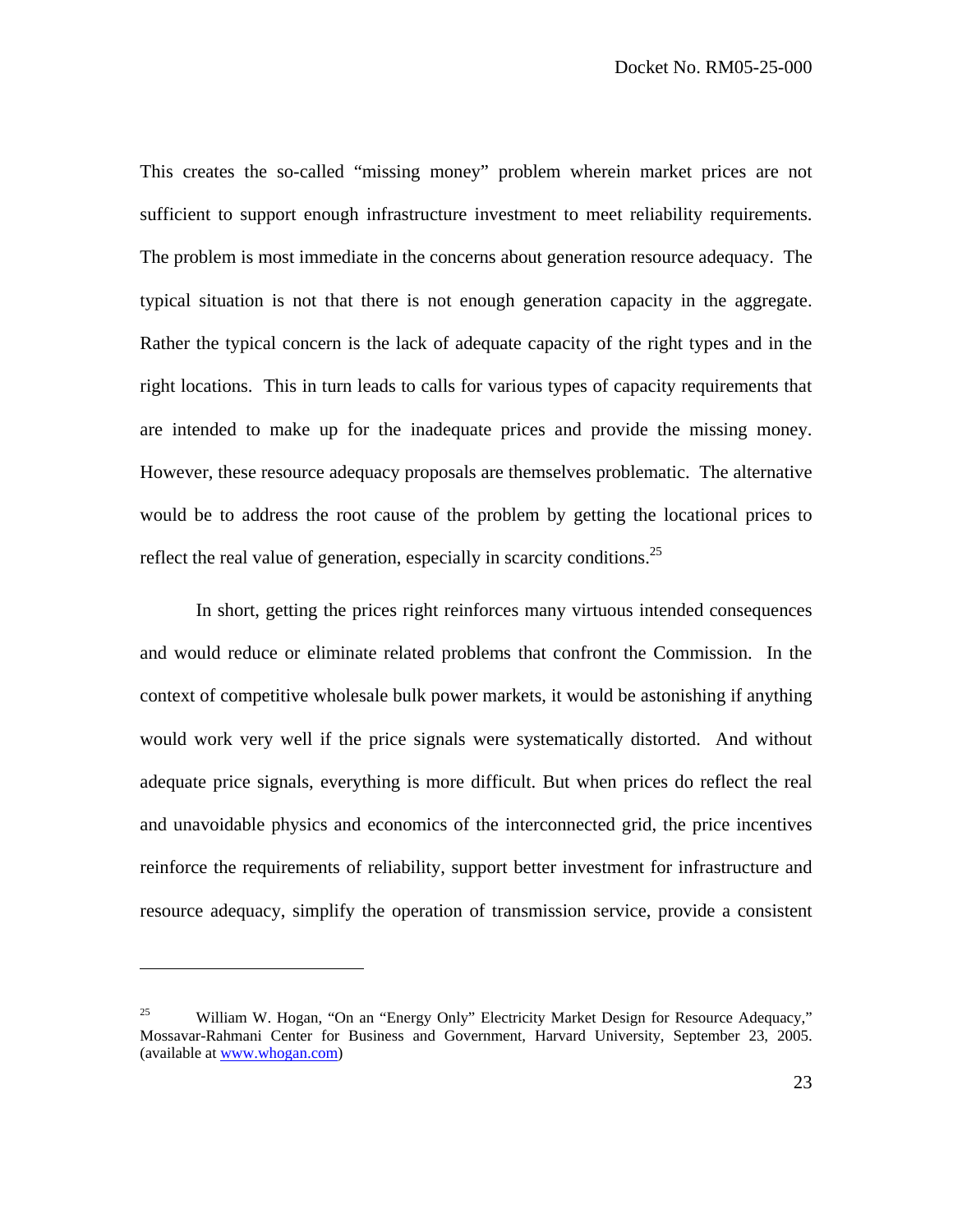This creates the so-called "missing money" problem wherein market prices are not sufficient to support enough infrastructure investment to meet reliability requirements. The problem is most immediate in the concerns about generation resource adequacy. The typical situation is not that there is not enough generation capacity in the aggregate. Rather the typical concern is the lack of adequate capacity of the right types and in the right locations. This in turn leads to calls for various types of capacity requirements that are intended to make up for the inadequate prices and provide the missing money. However, these resource adequacy proposals are themselves problematic. The alternative would be to address the root cause of the problem by getting the locational prices to reflect the real value of generation, especially in scarcity conditions.<sup>25</sup>

 In short, getting the prices right reinforces many virtuous intended consequences and would reduce or eliminate related problems that confront the Commission. In the context of competitive wholesale bulk power markets, it would be astonishing if anything would work very well if the price signals were systematically distorted. And without adequate price signals, everything is more difficult. But when prices do reflect the real and unavoidable physics and economics of the interconnected grid, the price incentives reinforce the requirements of reliability, support better investment for infrastructure and resource adequacy, simplify the operation of transmission service, provide a consistent

<sup>&</sup>lt;sup>25</sup> William W. Hogan, "On an "Energy Only" Electricity Market Design for Resource Adequacy," Mossavar-Rahmani Center for Business and Government, Harvard University, September 23, 2005. (available at www.whogan.com)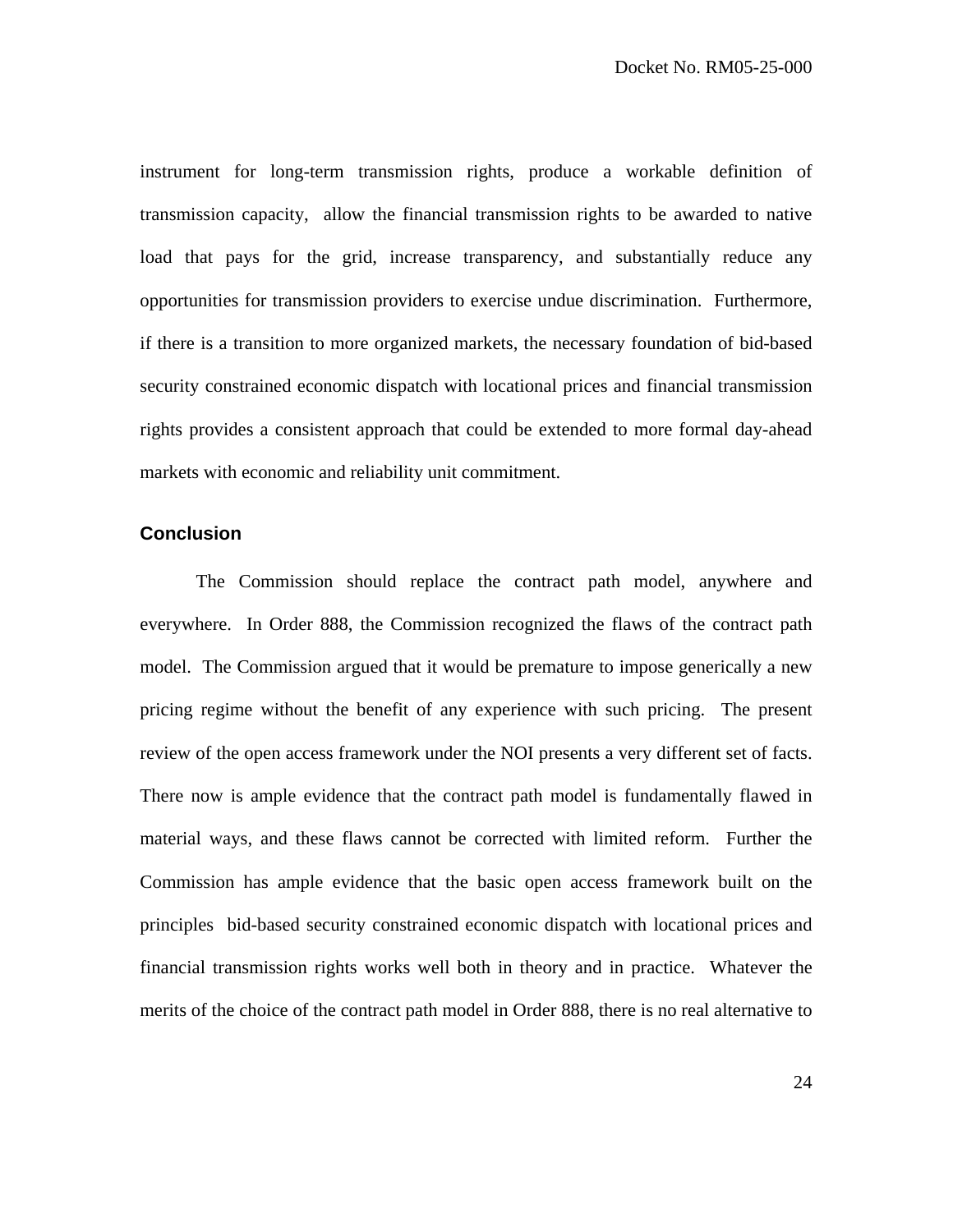instrument for long-term transmission rights, produce a workable definition of transmission capacity, allow the financial transmission rights to be awarded to native load that pays for the grid, increase transparency, and substantially reduce any opportunities for transmission providers to exercise undue discrimination. Furthermore, if there is a transition to more organized markets, the necessary foundation of bid-based security constrained economic dispatch with locational prices and financial transmission rights provides a consistent approach that could be extended to more formal day-ahead markets with economic and reliability unit commitment.

#### **Conclusion**

 The Commission should replace the contract path model, anywhere and everywhere. In Order 888, the Commission recognized the flaws of the contract path model. The Commission argued that it would be premature to impose generically a new pricing regime without the benefit of any experience with such pricing. The present review of the open access framework under the NOI presents a very different set of facts. There now is ample evidence that the contract path model is fundamentally flawed in material ways, and these flaws cannot be corrected with limited reform. Further the Commission has ample evidence that the basic open access framework built on the principles bid-based security constrained economic dispatch with locational prices and financial transmission rights works well both in theory and in practice. Whatever the merits of the choice of the contract path model in Order 888, there is no real alternative to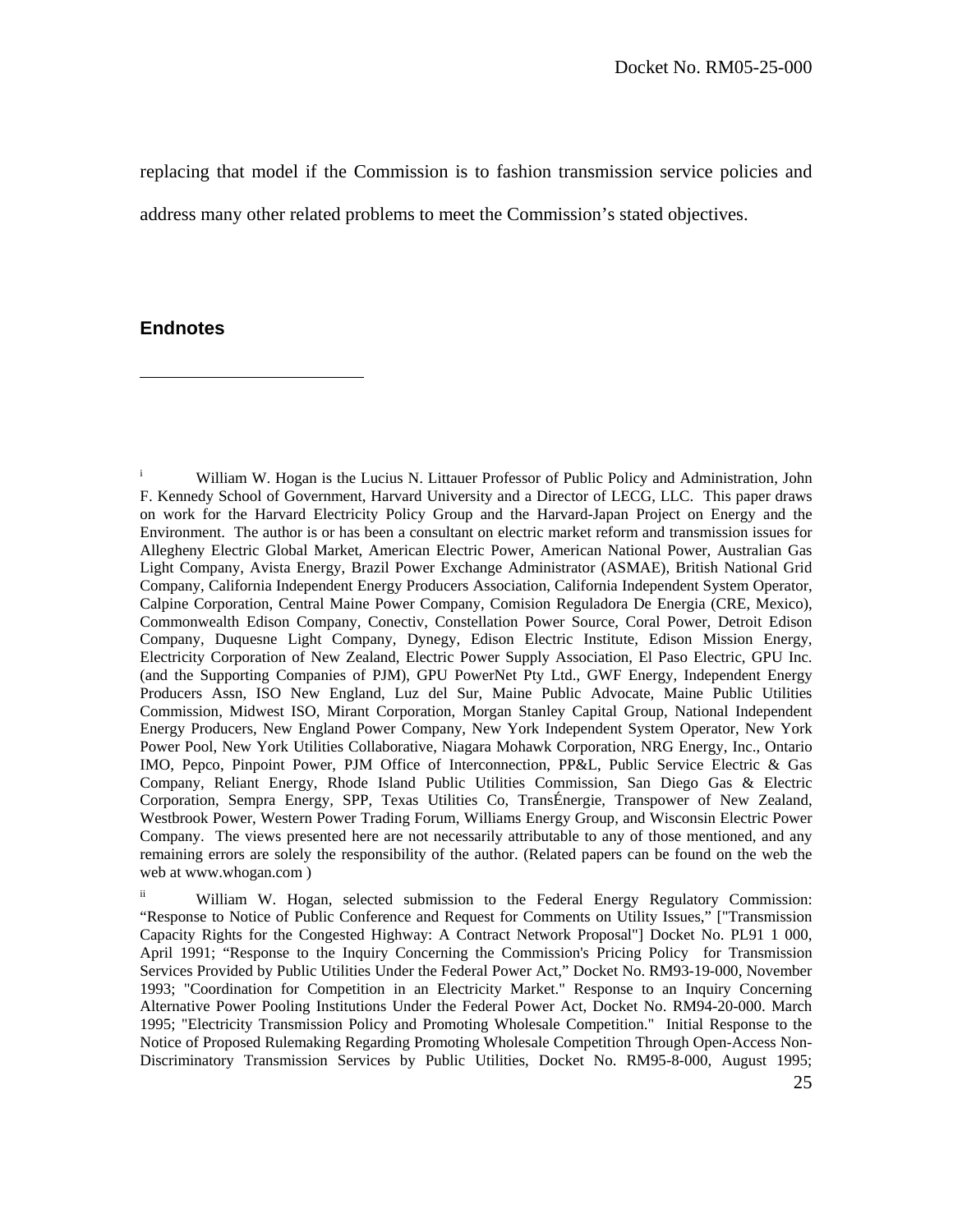replacing that model if the Commission is to fashion transmission service policies and address many other related problems to meet the Commission's stated objectives.

#### **Endnotes**

 $\overline{a}$ 

i William W. Hogan is the Lucius N. Littauer Professor of Public Policy and Administration, John F. Kennedy School of Government, Harvard University and a Director of LECG, LLC. This paper draws on work for the Harvard Electricity Policy Group and the Harvard-Japan Project on Energy and the Environment. The author is or has been a consultant on electric market reform and transmission issues for Allegheny Electric Global Market, American Electric Power, American National Power, Australian Gas Light Company, Avista Energy, Brazil Power Exchange Administrator (ASMAE), British National Grid Company, California Independent Energy Producers Association, California Independent System Operator, Calpine Corporation, Central Maine Power Company, Comision Reguladora De Energia (CRE, Mexico), Commonwealth Edison Company, Conectiv, Constellation Power Source, Coral Power, Detroit Edison Company, Duquesne Light Company, Dynegy, Edison Electric Institute, Edison Mission Energy, Electricity Corporation of New Zealand, Electric Power Supply Association, El Paso Electric, GPU Inc. (and the Supporting Companies of PJM), GPU PowerNet Pty Ltd., GWF Energy, Independent Energy Producers Assn, ISO New England, Luz del Sur, Maine Public Advocate, Maine Public Utilities Commission, Midwest ISO, Mirant Corporation, Morgan Stanley Capital Group, National Independent Energy Producers, New England Power Company, New York Independent System Operator, New York Power Pool, New York Utilities Collaborative, Niagara Mohawk Corporation, NRG Energy, Inc., Ontario IMO, Pepco, Pinpoint Power, PJM Office of Interconnection, PP&L, Public Service Electric & Gas Company, Reliant Energy, Rhode Island Public Utilities Commission, San Diego Gas & Electric Corporation, Sempra Energy, SPP, Texas Utilities Co, TransÉnergie, Transpower of New Zealand, Westbrook Power, Western Power Trading Forum, Williams Energy Group, and Wisconsin Electric Power Company. The views presented here are not necessarily attributable to any of those mentioned, and any remaining errors are solely the responsibility of the author. (Related papers can be found on the web the web at www.whogan.com )

<sup>ii</sup> William W. Hogan, selected submission to the Federal Energy Regulatory Commission: "Response to Notice of Public Conference and Request for Comments on Utility Issues," ["Transmission Capacity Rights for the Congested Highway: A Contract Network Proposal"] Docket No. PL91 1 000, April 1991; "Response to the Inquiry Concerning the Commission's Pricing Policy for Transmission Services Provided by Public Utilities Under the Federal Power Act," Docket No. RM93-19-000, November 1993; "Coordination for Competition in an Electricity Market." Response to an Inquiry Concerning Alternative Power Pooling Institutions Under the Federal Power Act, Docket No. RM94-20-000. March 1995; "Electricity Transmission Policy and Promoting Wholesale Competition." Initial Response to the Notice of Proposed Rulemaking Regarding Promoting Wholesale Competition Through Open-Access Non-Discriminatory Transmission Services by Public Utilities, Docket No. RM95-8-000, August 1995;